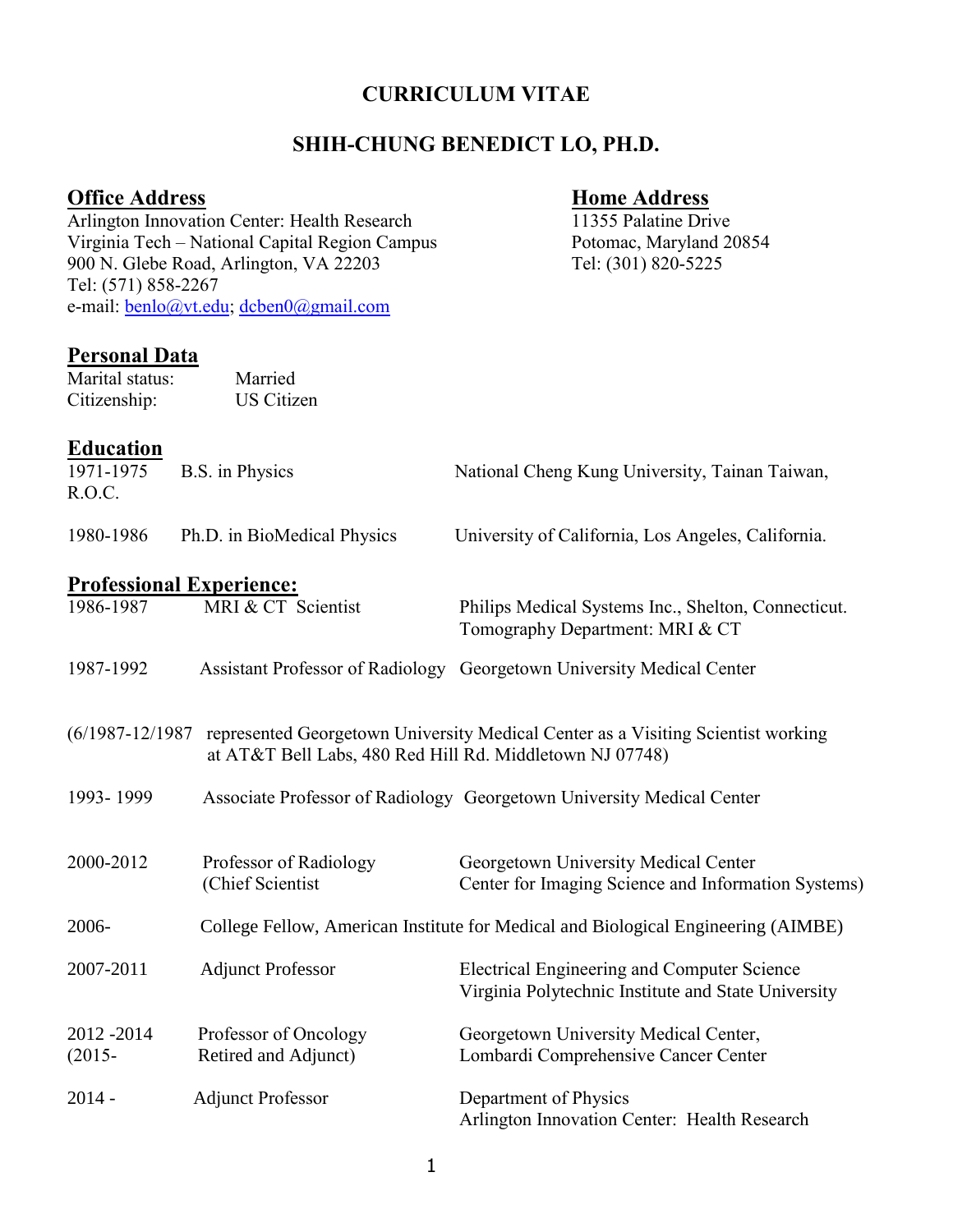#### **CURRICULUM VITAE**

#### **SHIH-CHUNG BENEDICT LO, PH.D.**

# **Office Address Home Address** Arlington Innovation Center: Health Research 11355 Palatine Drive Virginia Tech – National Capital Region Campus Potomac, Maryland 20854 900 N. Glebe Road, Arlington, VA 22203 Tel: (301) 820-5225 Tel: (571) 858-2267 e-mail: **benlo@vt.edu**; [dcben0@gmail.com](mailto:benedictlo@outlook.com) **Personal Data**  Marital status: Married Citizenship: US Citizen **Education**  1971-1975 B.S. in Physics National Cheng Kung University, Tainan Taiwan, R.O.C. 1980-1986 Ph.D. in BioMedical Physics University of California, Los Angeles, California. **Professional Experience:**  1986-1987 MRI & CT Scientist Philips Medical Systems Inc., Shelton, Connecticut. Tomography Department: MRI & CT 1987-1992 Assistant Professor of Radiology Georgetown University Medical Center

- (6/1987-12/1987 represented Georgetown University Medical Center as a Visiting Scientist working at AT&T Bell Labs, 480 Red Hill Rd. Middletown NJ 07748)
- 1993- 1999 Associate Professor of Radiology Georgetown University Medical Center

| 2000-2012                | Professor of Radiology<br>(Chief Scientist)   | Georgetown University Medical Center<br>Center for Imaging Science and Information Systems)        |
|--------------------------|-----------------------------------------------|----------------------------------------------------------------------------------------------------|
| 2006-                    |                                               | College Fellow, American Institute for Medical and Biological Engineering (AIMBE)                  |
| 2007-2011                | <b>Adjunct Professor</b>                      | Electrical Engineering and Computer Science<br>Virginia Polytechnic Institute and State University |
| 2012 - 2014<br>$(2015 -$ | Professor of Oncology<br>Retired and Adjunct) | Georgetown University Medical Center,<br>Lombardi Comprehensive Cancer Center                      |
| $2014 -$                 | <b>Adjunct Professor</b>                      | Department of Physics<br>Arlington Innovation Center: Health Research                              |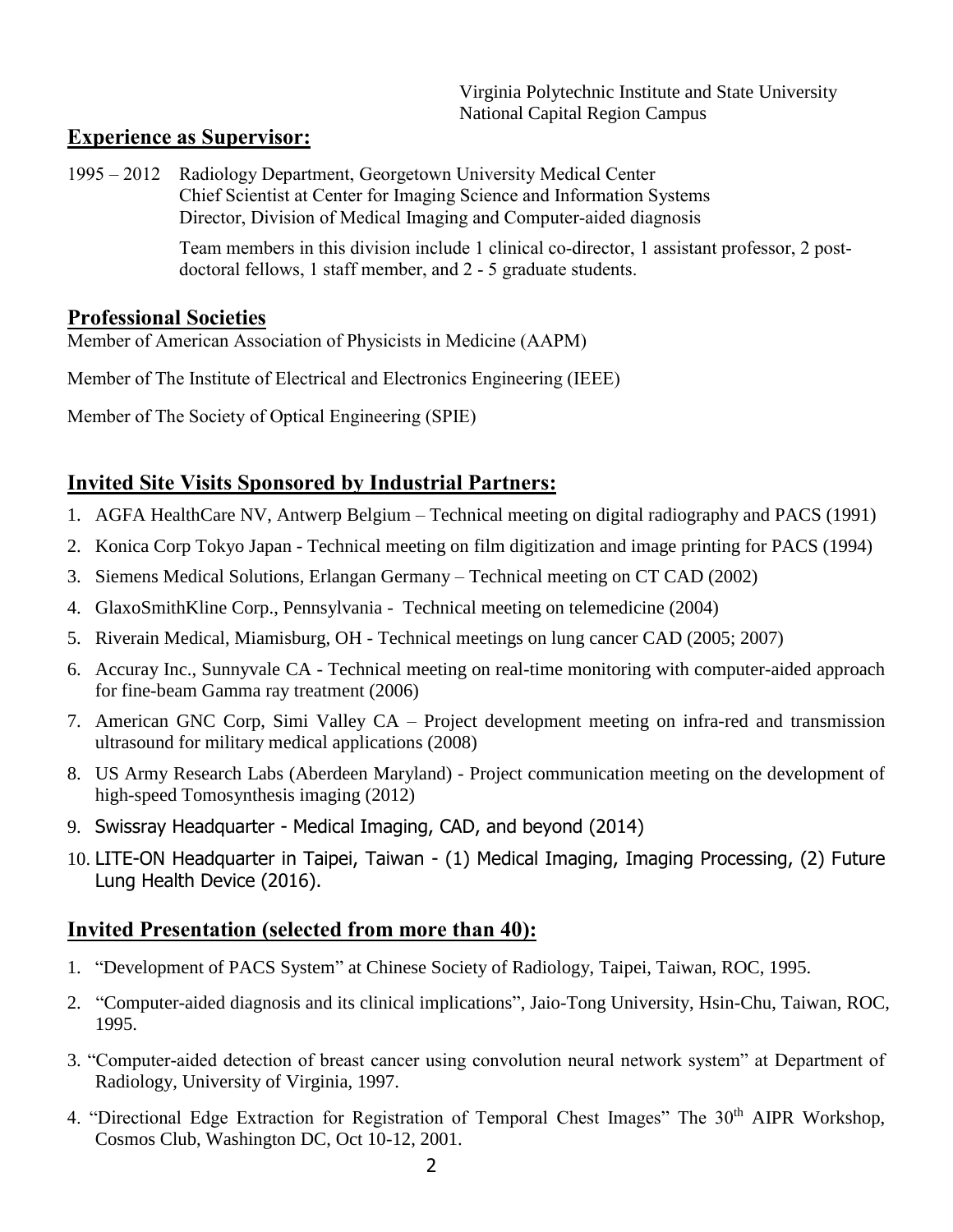Virginia Polytechnic Institute and State University National Capital Region Campus

## **Experience as Supervisor:**

1995 – 2012 Radiology Department, Georgetown University Medical Center Chief Scientist at Center for Imaging Science and Information Systems Director, Division of Medical Imaging and Computer-aided diagnosis

> Team members in this division include 1 clinical co-director, 1 assistant professor, 2 postdoctoral fellows, 1 staff member, and 2 - 5 graduate students.

### **Professional Societies**

Member of American Association of Physicists in Medicine (AAPM)

Member of The Institute of Electrical and Electronics Engineering (IEEE)

Member of The Society of Optical Engineering (SPIE)

## **Invited Site Visits Sponsored by Industrial Partners:**

- 1. AGFA HealthCare NV, Antwerp Belgium Technical meeting on digital radiography and PACS (1991)
- 2. Konica Corp Tokyo Japan Technical meeting on film digitization and image printing for PACS (1994)
- 3. Siemens Medical Solutions, Erlangan Germany Technical meeting on CT CAD (2002)
- 4. GlaxoSmithKline Corp., Pennsylvania Technical meeting on telemedicine (2004)
- 5. Riverain Medical, Miamisburg, OH Technical meetings on lung cancer CAD (2005; 2007)
- 6. Accuray Inc., Sunnyvale CA Technical meeting on real-time monitoring with computer-aided approach for fine-beam Gamma ray treatment (2006)
- 7. American GNC Corp, Simi Valley CA Project development meeting on infra-red and transmission ultrasound for military medical applications (2008)
- 8. US Army Research Labs (Aberdeen Maryland) Project communication meeting on the development of high-speed Tomosynthesis imaging (2012)
- 9. Swissray Headquarter Medical Imaging, CAD, and beyond (2014)
- 10. LITE-ON Headquarter in Taipei, Taiwan (1) Medical Imaging, Imaging Processing, (2) Future Lung Health Device (2016).

## **Invited Presentation (selected from more than 40):**

- 1. "Development of PACS System" at Chinese Society of Radiology, Taipei, Taiwan, ROC, 1995.
- 2. "Computer-aided diagnosis and its clinical implications", Jaio-Tong University, Hsin-Chu, Taiwan, ROC, 1995.
- 3. "Computer-aided detection of breast cancer using convolution neural network system" at Department of Radiology, University of Virginia, 1997.
- 4. "Directional Edge Extraction for Registration of Temporal Chest Images" The 30<sup>th</sup> AIPR Workshop, Cosmos Club, Washington DC, Oct 10-12, 2001.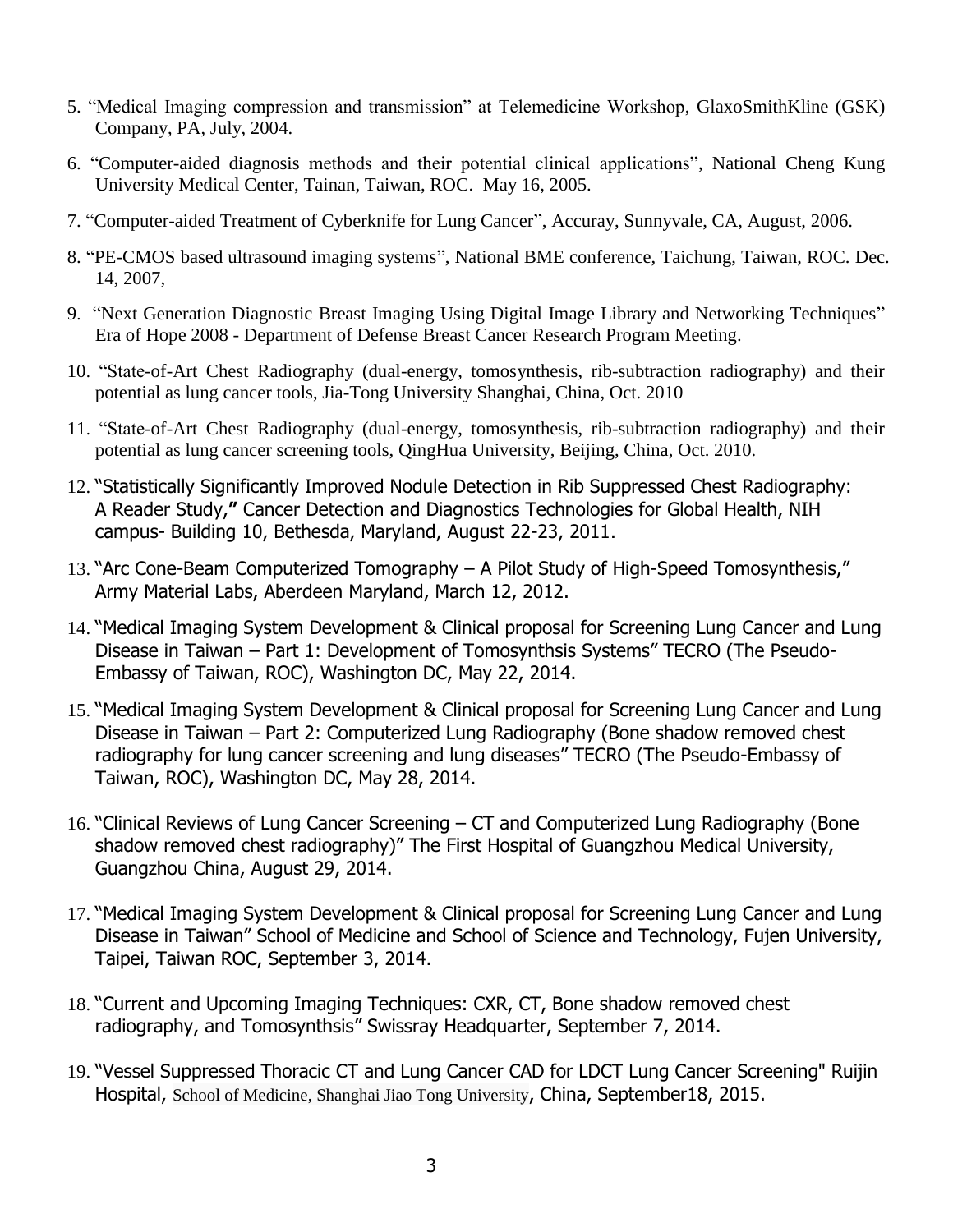- 5. "Medical Imaging compression and transmission" at Telemedicine Workshop, GlaxoSmithKline (GSK) Company, PA, July, 2004.
- 6. "Computer-aided diagnosis methods and their potential clinical applications", National Cheng Kung University Medical Center, Tainan, Taiwan, ROC. May 16, 2005.
- 7. "Computer-aided Treatment of Cyberknife for Lung Cancer", Accuray, Sunnyvale, CA, August, 2006.
- 8. "PE-CMOS based ultrasound imaging systems", National BME conference, Taichung, Taiwan, ROC. Dec. 14, 2007,
- 9. "Next Generation Diagnostic Breast Imaging Using Digital Image Library and Networking Techniques" Era of Hope 2008 - Department of Defense Breast Cancer Research Program Meeting.
- 10. "State-of-Art Chest Radiography (dual-energy, tomosynthesis, rib-subtraction radiography) and their potential as lung cancer tools, Jia-Tong University Shanghai, China, Oct. 2010
- 11. "State-of-Art Chest Radiography (dual-energy, tomosynthesis, rib-subtraction radiography) and their potential as lung cancer screening tools, QingHua University, Beijing, China, Oct. 2010.
- 12. "Statistically Significantly Improved Nodule Detection in Rib Suppressed Chest Radiography: A Reader Study,**"** Cancer Detection and Diagnostics Technologies for Global Health, NIH campus- Building 10, Bethesda, Maryland, August 22-23, 2011.
- 13. "Arc Cone-Beam Computerized Tomography A Pilot Study of High-Speed Tomosynthesis," Army Material Labs, Aberdeen Maryland, March 12, 2012.
- 14. "Medical Imaging System Development & Clinical proposal for Screening Lung Cancer and Lung Disease in Taiwan – Part 1: Development of Tomosynthsis Systems" TECRO (The Pseudo-Embassy of Taiwan, ROC), Washington DC, May 22, 2014.
- 15. "Medical Imaging System Development & Clinical proposal for Screening Lung Cancer and Lung Disease in Taiwan – Part 2: Computerized Lung Radiography (Bone shadow removed chest radiography for lung cancer screening and lung diseases" TECRO (The Pseudo-Embassy of Taiwan, ROC), Washington DC, May 28, 2014.
- 16. "Clinical Reviews of Lung Cancer Screening CT and Computerized Lung Radiography (Bone shadow removed chest radiography)" The First Hospital of Guangzhou Medical University, Guangzhou China, August 29, 2014.
- 17. "Medical Imaging System Development & Clinical proposal for Screening Lung Cancer and Lung Disease in Taiwan" School of Medicine and School of Science and Technology, Fujen University, Taipei, Taiwan ROC, September 3, 2014.
- 18. "Current and Upcoming Imaging Techniques: CXR, CT, Bone shadow removed chest radiography, and Tomosynthsis" Swissray Headquarter, September 7, 2014.
- 19. "Vessel Suppressed Thoracic CT and Lung Cancer CAD for LDCT Lung Cancer Screening" Ruijin Hospital, School of Medicine, Shanghai Jiao Tong University, China, September18, 2015.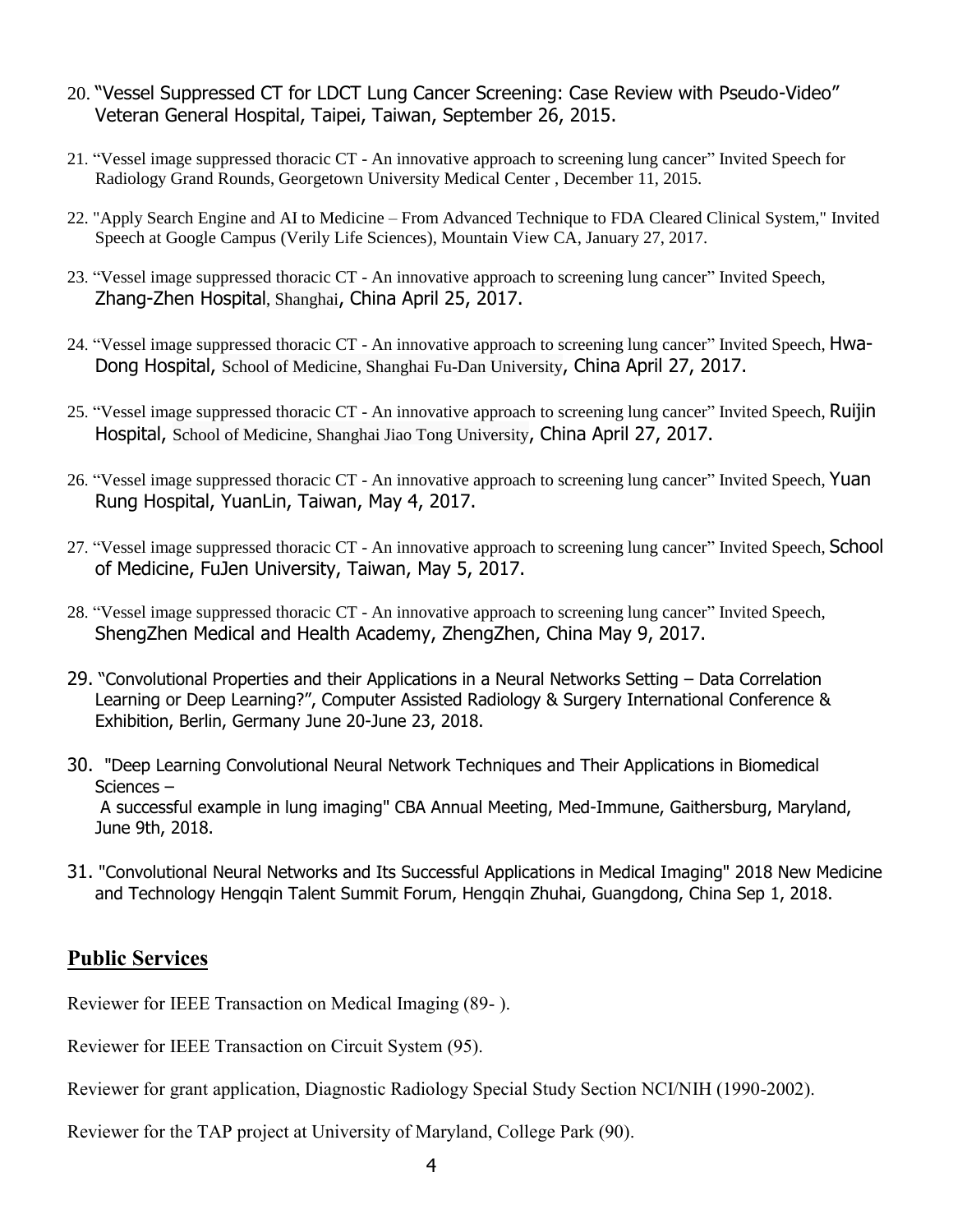- 20. "Vessel Suppressed CT for LDCT Lung Cancer Screening: Case Review with Pseudo-Video" Veteran General Hospital, Taipei, Taiwan, September 26, 2015.
- 21. "Vessel image suppressed thoracic CT An innovative approach to screening lung cancer" Invited Speech for Radiology Grand Rounds, Georgetown University Medical Center , December 11, 2015.
- 22. "Apply Search Engine and AI to Medicine From Advanced Technique to FDA Cleared Clinical System," Invited Speech at Google Campus (Verily Life Sciences), Mountain View CA, January 27, 2017.
- 23. "Vessel image suppressed thoracic CT An innovative approach to screening lung cancer" Invited Speech, Zhang-Zhen Hospital, Shanghai, China April 25, 2017.
- 24. "Vessel image suppressed thoracic CT An innovative approach to screening lung cancer" Invited Speech, Hwa-Dong Hospital, School of Medicine, Shanghai Fu-Dan University, China April 27, 2017.
- 25. "Vessel image suppressed thoracic CT An innovative approach to screening lung cancer" Invited Speech, Ruijin Hospital, School of Medicine, Shanghai Jiao Tong University, China April 27, 2017.
- 26. "Vessel image suppressed thoracic CT An innovative approach to screening lung cancer" Invited Speech, Yuan Rung Hospital, YuanLin, Taiwan, May 4, 2017.
- 27. "Vessel image suppressed thoracic CT An innovative approach to screening lung cancer" Invited Speech, School of Medicine, FuJen University, Taiwan, May 5, 2017.
- 28. "Vessel image suppressed thoracic CT An innovative approach to screening lung cancer" Invited Speech, ShengZhen Medical and Health Academy, ZhengZhen, China May 9, 2017.
- 29. "Convolutional Properties and their Applications in a Neural Networks Setting Data Correlation Learning or Deep Learning?", Computer Assisted Radiology & Surgery International Conference & Exhibition, Berlin, Germany June 20-June 23, 2018.
- 30. "Deep Learning Convolutional Neural Network Techniques and Their Applications in Biomedical Sciences – A successful example in lung imaging" CBA Annual Meeting, Med-Immune, Gaithersburg, Maryland, June 9th, 2018.
- 31. "Convolutional Neural Networks and Its Successful Applications in Medical Imaging" 2018 New Medicine and Technology Hengqin Talent Summit Forum, Hengqin Zhuhai, Guangdong, China Sep 1, 2018.

### **Public Services**

Reviewer for IEEE Transaction on Medical Imaging (89- ).

Reviewer for IEEE Transaction on Circuit System (95).

Reviewer for grant application, Diagnostic Radiology Special Study Section NCI/NIH (1990-2002).

Reviewer for the TAP project at University of Maryland, College Park (90).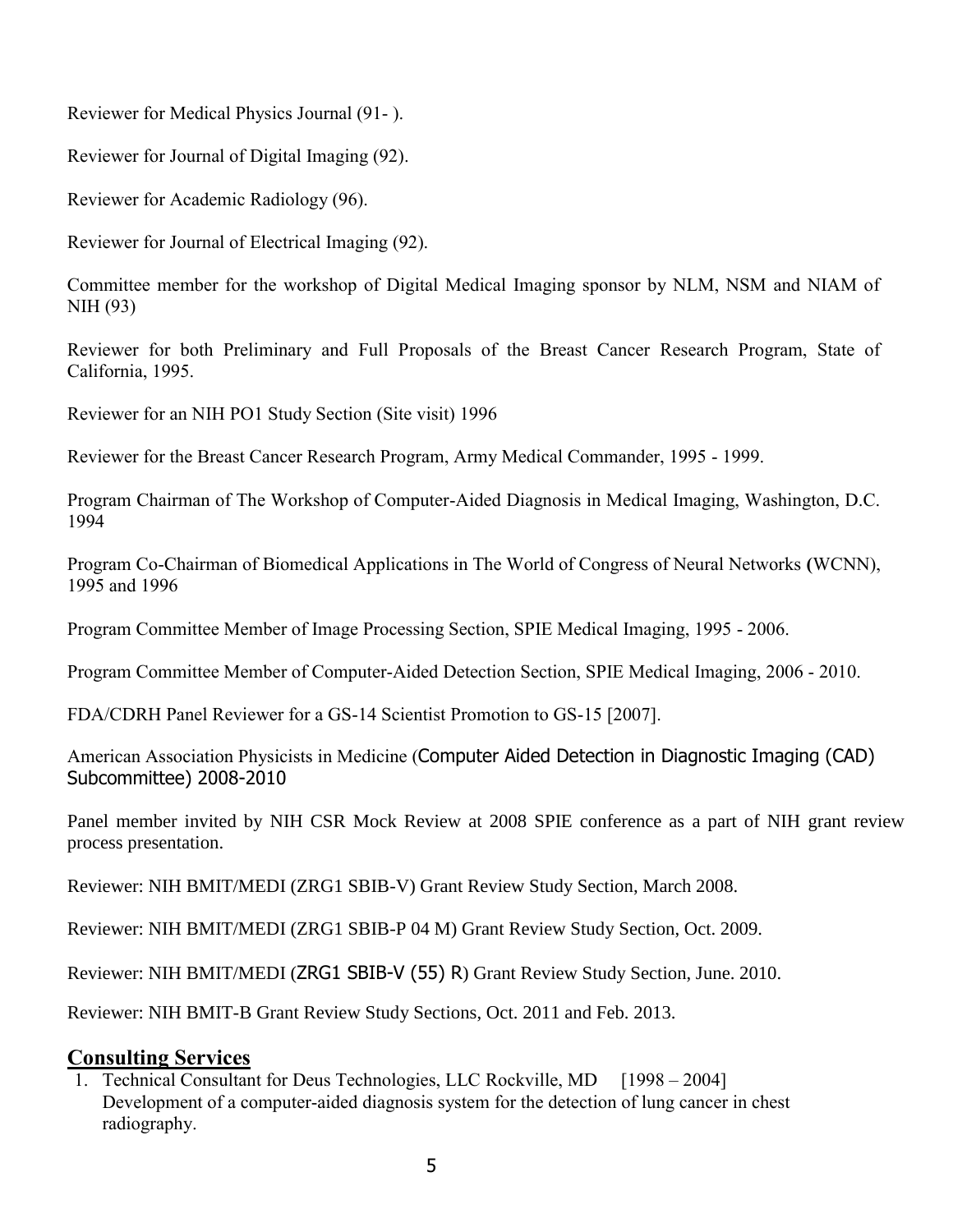Reviewer for Medical Physics Journal (91- ).

Reviewer for Journal of Digital Imaging (92).

Reviewer for Academic Radiology (96).

Reviewer for Journal of Electrical Imaging (92).

Committee member for the workshop of Digital Medical Imaging sponsor by NLM, NSM and NIAM of NIH (93)

Reviewer for both Preliminary and Full Proposals of the Breast Cancer Research Program, State of California, 1995.

Reviewer for an NIH PO1 Study Section (Site visit) 1996

Reviewer for the Breast Cancer Research Program, Army Medical Commander, 1995 - 1999.

Program Chairman of The Workshop of Computer-Aided Diagnosis in Medical Imaging, Washington, D.C. 1994

Program Co-Chairman of Biomedical Applications in The World of Congress of Neural Networks **(**WCNN), 1995 and 1996

Program Committee Member of Image Processing Section, SPIE Medical Imaging, 1995 - 2006.

Program Committee Member of Computer-Aided Detection Section, SPIE Medical Imaging, 2006 - 2010.

FDA/CDRH Panel Reviewer for a GS-14 Scientist Promotion to GS-15 [2007].

American Association Physicists in Medicine (Computer Aided Detection in Diagnostic Imaging (CAD) Subcommittee) 2008-2010

Panel member invited by NIH CSR Mock Review at 2008 SPIE conference as a part of NIH grant review process presentation.

Reviewer: NIH BMIT/MEDI (ZRG1 SBIB-V) Grant Review Study Section, March 2008.

Reviewer: NIH BMIT/MEDI (ZRG1 SBIB-P 04 M) Grant Review Study Section, Oct. 2009.

Reviewer: NIH BMIT/MEDI (ZRG1 SBIB-V (55) R) Grant Review Study Section, June. 2010.

Reviewer: NIH BMIT-B Grant Review Study Sections, Oct. 2011 and Feb. 2013.

### **Consulting Services**

1. Technical Consultant for Deus Technologies, LLC Rockville, MD [1998 – 2004] Development of a computer-aided diagnosis system for the detection of lung cancer in chest radiography.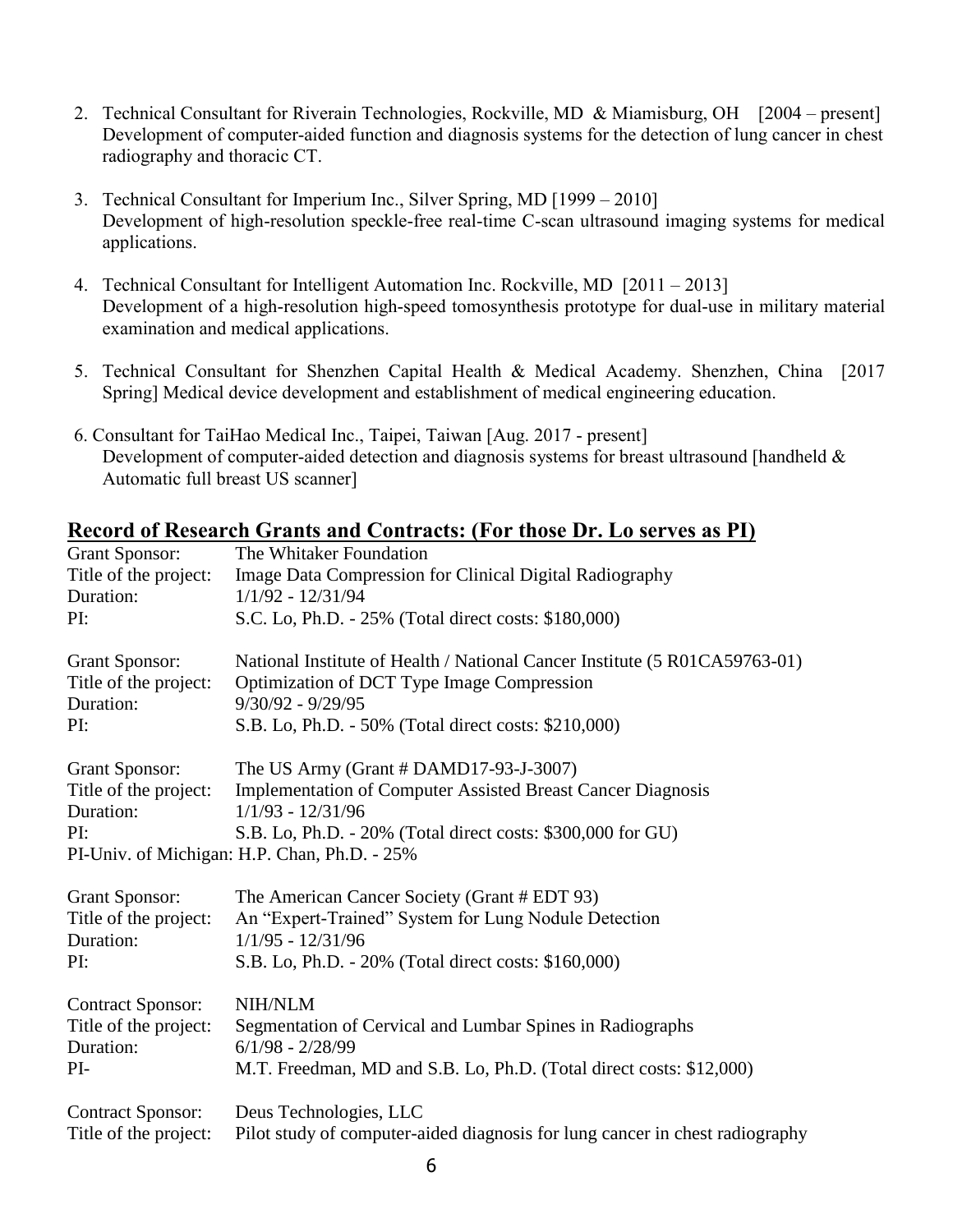- 2. Technical Consultant for Riverain Technologies, Rockville, MD & Miamisburg, OH [2004 present] Development of computer-aided function and diagnosis systems for the detection of lung cancer in chest radiography and thoracic CT.
- 3. Technical Consultant for Imperium Inc., Silver Spring, MD [1999 2010] Development of high-resolution speckle-free real-time C-scan ultrasound imaging systems for medical applications.
- 4. Technical Consultant for Intelligent Automation Inc. Rockville, MD [2011 2013] Development of a high-resolution high-speed tomosynthesis prototype for dual-use in military material examination and medical applications.
- 5. Technical Consultant for Shenzhen Capital Health & Medical Academy. Shenzhen, China [2017 Spring] Medical device development and establishment of medical engineering education.
- 6. Consultant for TaiHao Medical Inc., Taipei, Taiwan [Aug. 2017 present] Development of computer-aided detection and diagnosis systems for breast ultrasound [handheld & Automatic full breast US scanner]

|                                                                         | Record of Research Orangs and Contracts. (For those Dr. Do serves as Frj                                                                                                                                                                             |
|-------------------------------------------------------------------------|------------------------------------------------------------------------------------------------------------------------------------------------------------------------------------------------------------------------------------------------------|
| <b>Grant Sponsor:</b>                                                   | The Whitaker Foundation                                                                                                                                                                                                                              |
| Title of the project:                                                   | Image Data Compression for Clinical Digital Radiography                                                                                                                                                                                              |
| Duration:                                                               | $1/1/92 - 12/31/94$                                                                                                                                                                                                                                  |
| PI:                                                                     | S.C. Lo, Ph.D. - 25% (Total direct costs: \$180,000)                                                                                                                                                                                                 |
| <b>Grant Sponsor:</b><br>Title of the project:<br>Duration:<br>PI:      | National Institute of Health / National Cancer Institute (5 R01CA59763-01)<br>Optimization of DCT Type Image Compression<br>$9/30/92 - 9/29/95$<br>S.B. Lo, Ph.D. - 50% (Total direct costs: \$210,000)                                              |
|                                                                         |                                                                                                                                                                                                                                                      |
| <b>Grant Sponsor:</b><br>Title of the project:<br>Duration:<br>PI:      | The US Army (Grant $#$ DAMD17-93-J-3007)<br><b>Implementation of Computer Assisted Breast Cancer Diagnosis</b><br>$1/1/93 - 12/31/96$<br>S.B. Lo, Ph.D. - 20% (Total direct costs: \$300,000 for GU)<br>PI-Univ. of Michigan: H.P. Chan, Ph.D. - 25% |
|                                                                         |                                                                                                                                                                                                                                                      |
| <b>Grant Sponsor:</b>                                                   | The American Cancer Society (Grant # EDT 93)                                                                                                                                                                                                         |
| Title of the project:                                                   | An "Expert-Trained" System for Lung Nodule Detection                                                                                                                                                                                                 |
| Duration:                                                               | $1/1/95 - 12/31/96$                                                                                                                                                                                                                                  |
| PI:                                                                     | S.B. Lo, Ph.D. - 20% (Total direct costs: \$160,000)                                                                                                                                                                                                 |
| <b>Contract Sponsor:</b><br>Title of the project:<br>Duration:<br>$PI-$ | <b>NIH/NLM</b><br>Segmentation of Cervical and Lumbar Spines in Radiographs<br>$6/1/98 - 2/28/99$<br>M.T. Freedman, MD and S.B. Lo, Ph.D. (Total direct costs: \$12,000)                                                                             |
| <b>Contract Sponsor:</b>                                                | Deus Technologies, LLC                                                                                                                                                                                                                               |
| Title of the project:                                                   | Pilot study of computer-aided diagnosis for lung cancer in chest radiography                                                                                                                                                                         |

#### **Record of Research Grants and Contracts: (For those Dr. Lo serves as PI)**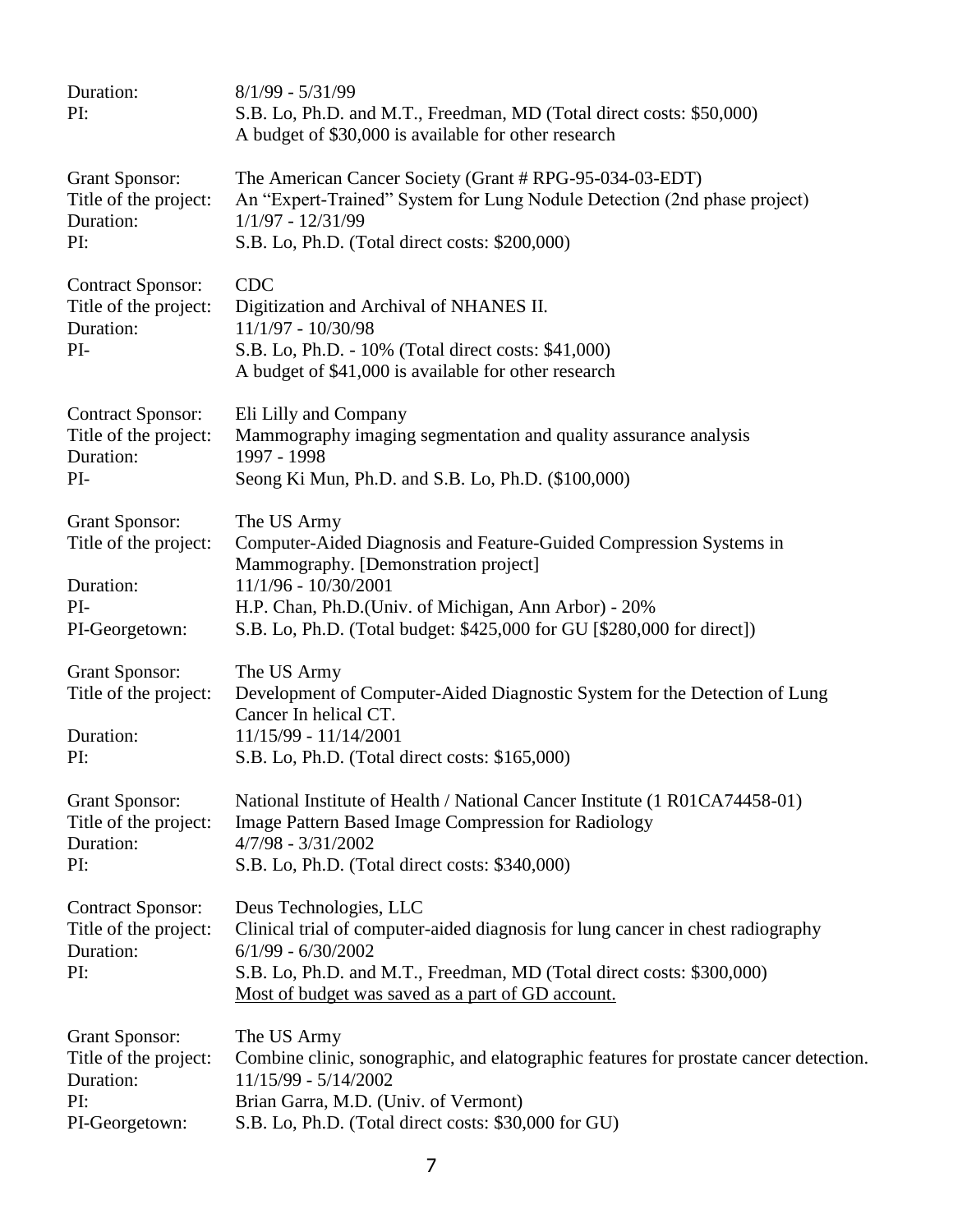| Duration:<br>PI:                                                                     | $8/1/99 - 5/31/99$<br>S.B. Lo, Ph.D. and M.T., Freedman, MD (Total direct costs: \$50,000)<br>A budget of \$30,000 is available for other research                                                                                                                                  |
|--------------------------------------------------------------------------------------|-------------------------------------------------------------------------------------------------------------------------------------------------------------------------------------------------------------------------------------------------------------------------------------|
| <b>Grant Sponsor:</b><br>Title of the project:<br>Duration:<br>PI:                   | The American Cancer Society (Grant # RPG-95-034-03-EDT)<br>An "Expert-Trained" System for Lung Nodule Detection (2nd phase project)<br>$1/1/97 - 12/31/99$<br>S.B. Lo, Ph.D. (Total direct costs: \$200,000)                                                                        |
| <b>Contract Sponsor:</b><br>Title of the project:<br>Duration:<br>PI-                | <b>CDC</b><br>Digitization and Archival of NHANES II.<br>11/1/97 - 10/30/98<br>S.B. Lo, Ph.D. - 10% (Total direct costs: \$41,000)<br>A budget of \$41,000 is available for other research                                                                                          |
| <b>Contract Sponsor:</b><br>Title of the project:<br>Duration:<br>PI-                | Eli Lilly and Company<br>Mammography imaging segmentation and quality assurance analysis<br>1997 - 1998<br>Seong Ki Mun, Ph.D. and S.B. Lo, Ph.D. (\$100,000)                                                                                                                       |
| <b>Grant Sponsor:</b><br>Title of the project:<br>Duration:<br>PI-<br>PI-Georgetown: | The US Army<br>Computer-Aided Diagnosis and Feature-Guided Compression Systems in<br>Mammography. [Demonstration project]<br>11/1/96 - 10/30/2001<br>H.P. Chan, Ph.D.(Univ. of Michigan, Ann Arbor) - 20%<br>S.B. Lo, Ph.D. (Total budget: \$425,000 for GU [\$280,000 for direct]) |
| <b>Grant Sponsor:</b><br>Title of the project:<br>Duration:<br>PI:                   | The US Army<br>Development of Computer-Aided Diagnostic System for the Detection of Lung<br>Cancer In helical CT.<br>11/15/99 - 11/14/2001<br>S.B. Lo, Ph.D. (Total direct costs: \$165,000)                                                                                        |
| <b>Grant Sponsor:</b><br>Title of the project:<br>Duration:<br>PI:                   | National Institute of Health / National Cancer Institute (1 R01CA74458-01)<br>Image Pattern Based Image Compression for Radiology<br>$4/7/98 - 3/31/2002$<br>S.B. Lo, Ph.D. (Total direct costs: \$340,000)                                                                         |
| <b>Contract Sponsor:</b><br>Title of the project:<br>Duration:<br>PI:                | Deus Technologies, LLC<br>Clinical trial of computer-aided diagnosis for lung cancer in chest radiography<br>$6/1/99 - 6/30/2002$<br>S.B. Lo, Ph.D. and M.T., Freedman, MD (Total direct costs: \$300,000)<br>Most of budget was saved as a part of GD account.                     |
| <b>Grant Sponsor:</b><br>Title of the project:<br>Duration:<br>PI:<br>PI-Georgetown: | The US Army<br>Combine clinic, sonographic, and elatographic features for prostate cancer detection.<br>11/15/99 - 5/14/2002<br>Brian Garra, M.D. (Univ. of Vermont)<br>S.B. Lo, Ph.D. (Total direct costs: \$30,000 for GU)                                                        |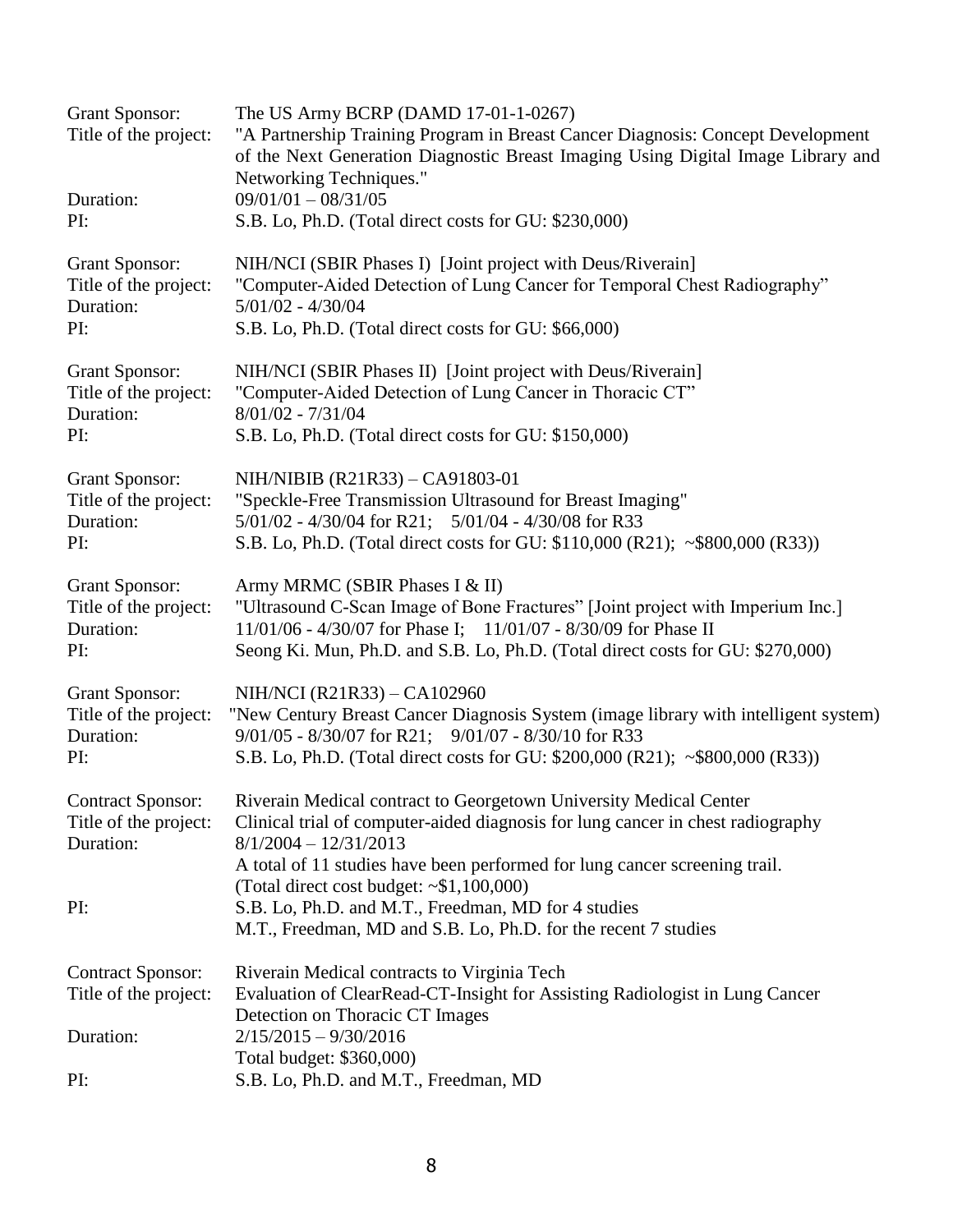| <b>Grant Sponsor:</b><br>Title of the project:<br>Duration:<br>PI: | The US Army BCRP (DAMD 17-01-1-0267)<br>"A Partnership Training Program in Breast Cancer Diagnosis: Concept Development<br>of the Next Generation Diagnostic Breast Imaging Using Digital Image Library and<br>Networking Techniques."<br>$09/01/01 - 08/31/05$<br>S.B. Lo, Ph.D. (Total direct costs for GU: \$230,000) |
|--------------------------------------------------------------------|--------------------------------------------------------------------------------------------------------------------------------------------------------------------------------------------------------------------------------------------------------------------------------------------------------------------------|
| <b>Grant Sponsor:</b><br>Title of the project:<br>Duration:<br>PI: | NIH/NCI (SBIR Phases I) [Joint project with Deus/Riverain]<br>"Computer-Aided Detection of Lung Cancer for Temporal Chest Radiography"<br>$5/01/02 - 4/30/04$<br>S.B. Lo, Ph.D. (Total direct costs for GU: \$66,000)                                                                                                    |
| <b>Grant Sponsor:</b><br>Title of the project:<br>Duration:<br>PI: | NIH/NCI (SBIR Phases II) [Joint project with Deus/Riverain]<br>"Computer-Aided Detection of Lung Cancer in Thoracic CT"<br>$8/01/02 - 7/31/04$<br>S.B. Lo, Ph.D. (Total direct costs for GU: \$150,000)                                                                                                                  |
| <b>Grant Sponsor:</b><br>Title of the project:<br>Duration:<br>PI: | NIH/NIBIB (R21R33) - CA91803-01<br>"Speckle-Free Transmission Ultrasound for Breast Imaging"<br>5/01/02 - 4/30/04 for R21; 5/01/04 - 4/30/08 for R33<br>S.B. Lo, Ph.D. (Total direct costs for GU: \$110,000 (R21); ~\$800,000 (R33))                                                                                    |
| <b>Grant Sponsor:</b><br>Title of the project:<br>Duration:<br>PI: | Army MRMC (SBIR Phases I & II)<br>"Ultrasound C-Scan Image of Bone Fractures" [Joint project with Imperium Inc.]<br>11/01/06 - 4/30/07 for Phase I; 11/01/07 - 8/30/09 for Phase II<br>Seong Ki. Mun, Ph.D. and S.B. Lo, Ph.D. (Total direct costs for GU: \$270,000)                                                    |
| <b>Grant Sponsor:</b><br>Title of the project:<br>Duration:<br>PI: | NIH/NCI (R21R33) – CA102960<br>"New Century Breast Cancer Diagnosis System (image library with intelligent system)<br>9/01/05 - 8/30/07 for R21; 9/01/07 - 8/30/10 for R33<br>S.B. Lo, Ph.D. (Total direct costs for GU: \$200,000 (R21); ~\$800,000 (R33))                                                              |
| Title of the project:<br>Duration:                                 | Contract Sponsor: Riverain Medical contract to Georgetown University Medical Center<br>Clinical trial of computer-aided diagnosis for lung cancer in chest radiography<br>$8/1/2004 - 12/31/2013$<br>A total of 11 studies have been performed for lung cancer screening trail.                                          |
| PI:                                                                | (Total direct cost budget: $\sim $1,100,000$ )<br>S.B. Lo, Ph.D. and M.T., Freedman, MD for 4 studies<br>M.T., Freedman, MD and S.B. Lo, Ph.D. for the recent 7 studies                                                                                                                                                  |
| <b>Contract Sponsor:</b><br>Title of the project:                  | Riverain Medical contracts to Virginia Tech<br>Evaluation of ClearRead-CT-Insight for Assisting Radiologist in Lung Cancer<br>Detection on Thoracic CT Images                                                                                                                                                            |
| Duration:                                                          | $2/15/2015 - 9/30/2016$<br>Total budget: \$360,000)                                                                                                                                                                                                                                                                      |
| PI:                                                                | S.B. Lo, Ph.D. and M.T., Freedman, MD                                                                                                                                                                                                                                                                                    |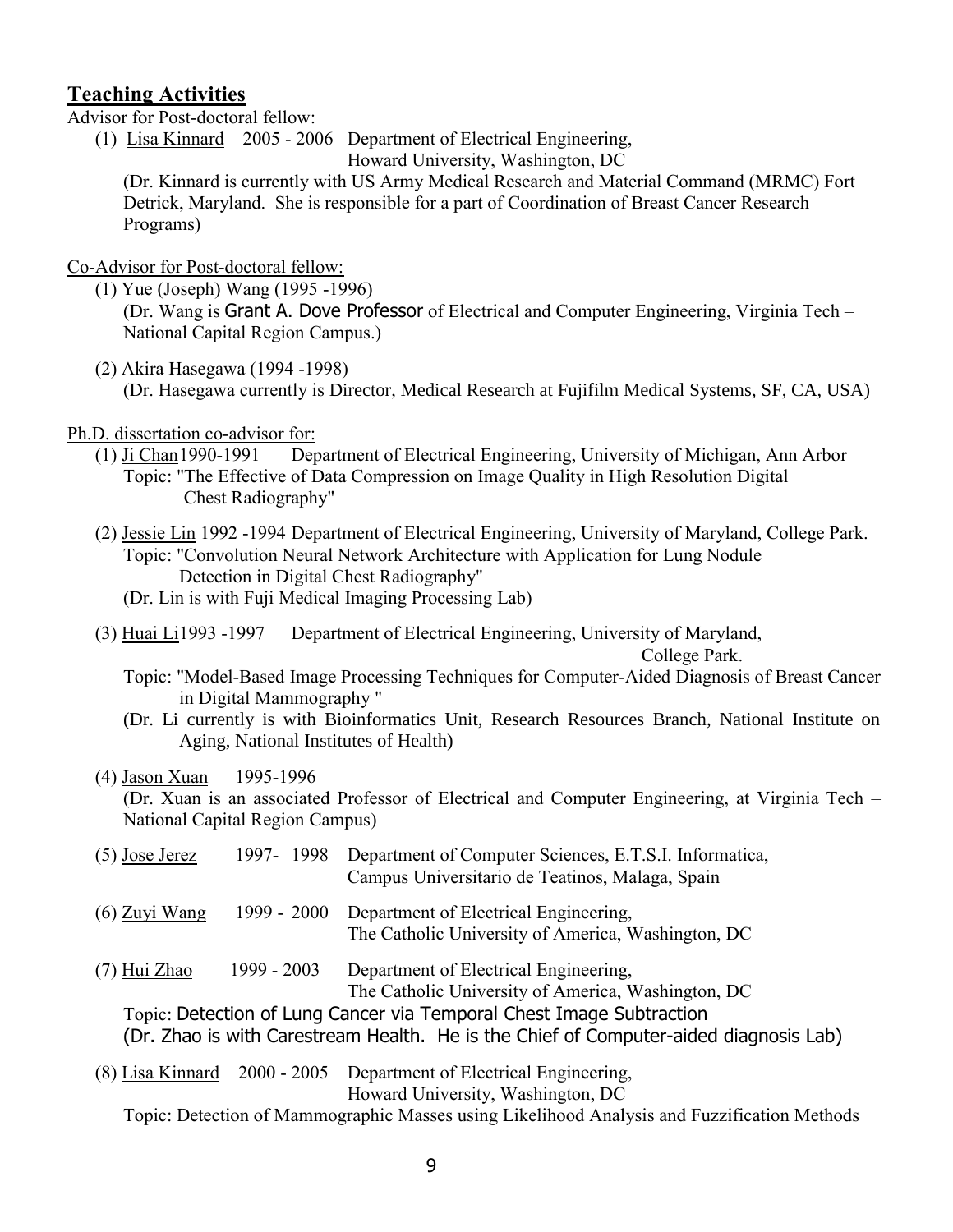### **Teaching Activities**

Advisor for Post-doctoral fellow:

(1) Lisa Kinnard 2005 - 2006 Department of Electrical Engineering, Howard University, Washington, DC

 (Dr. Kinnard is currently with US Army Medical Research and Material Command (MRMC) Fort Detrick, Maryland. She is responsible for a part of Coordination of Breast Cancer Research Programs)

Co-Advisor for Post-doctoral fellow:

(1) Yue (Joseph) Wang (1995 -1996)

(Dr. Wang is Grant A. Dove Professor of Electrical and Computer Engineering, Virginia Tech – National Capital Region Campus.)

(2) Akira Hasegawa (1994 -1998)

(Dr. Hasegawa currently is Director, Medical Research at Fujifilm Medical Systems, SF, CA, USA)

Ph.D. dissertation co-advisor for:

- (1) Ji Chan1990-1991 Department of Electrical Engineering, University of Michigan, Ann Arbor Topic: "The Effective of Data Compression on Image Quality in High Resolution Digital Chest Radiography"
- (2) Jessie Lin 1992 -1994 Department of Electrical Engineering, University of Maryland, College Park. Topic: "Convolution Neural Network Architecture with Application for Lung Nodule Detection in Digital Chest Radiography"

(Dr. Lin is with Fuji Medical Imaging Processing Lab)

(3) Huai Li1993 -1997 Department of Electrical Engineering, University of Maryland,

College Park.

- Topic: "Model-Based Image Processing Techniques for Computer-Aided Diagnosis of Breast Cancer in Digital Mammography "
- (Dr. Li currently is with Bioinformatics Unit, Research Resources Branch, National Institute on Aging, National Institutes of Health)
- (4) Jason Xuan 1995-1996

(Dr. Xuan is an associated Professor of Electrical and Computer Engineering, at Virginia Tech – National Capital Region Campus)

| $(5)$ Jose Jerez |             | 1997- 1998 Department of Computer Sciences, E.T.S.I. Informatica,<br>Campus Universitario de Teatinos, Malaga, Spain |
|------------------|-------------|----------------------------------------------------------------------------------------------------------------------|
| $(6)$ Zuyi Wang  | 1999 - 2000 | Department of Electrical Engineering,<br>The Catholic University of America, Washington, DC                          |
| (7) Hui Zhao     | 1999 - 2003 | Department of Electrical Engineering,<br>The Catholic University of America, Washington, DC                          |
|                  |             | Topic: Detection of Lung Cancer via Temporal Chest Image Subtraction                                                 |
|                  |             | (Dr. Zhao is with Carestream Health. He is the Chief of Computer-aided diagnosis Lab)                                |
| (8) Lisa Kinnard |             | 2000 - 2005 Department of Electrical Engineering,<br>Howard University, Washington, DC                               |
|                  |             | T 'DI'M 1'M 'T'1'141' 1F 'C'MI                                                                                       |

Topic: Detection of Mammographic Masses using Likelihood Analysis and Fuzzification Methods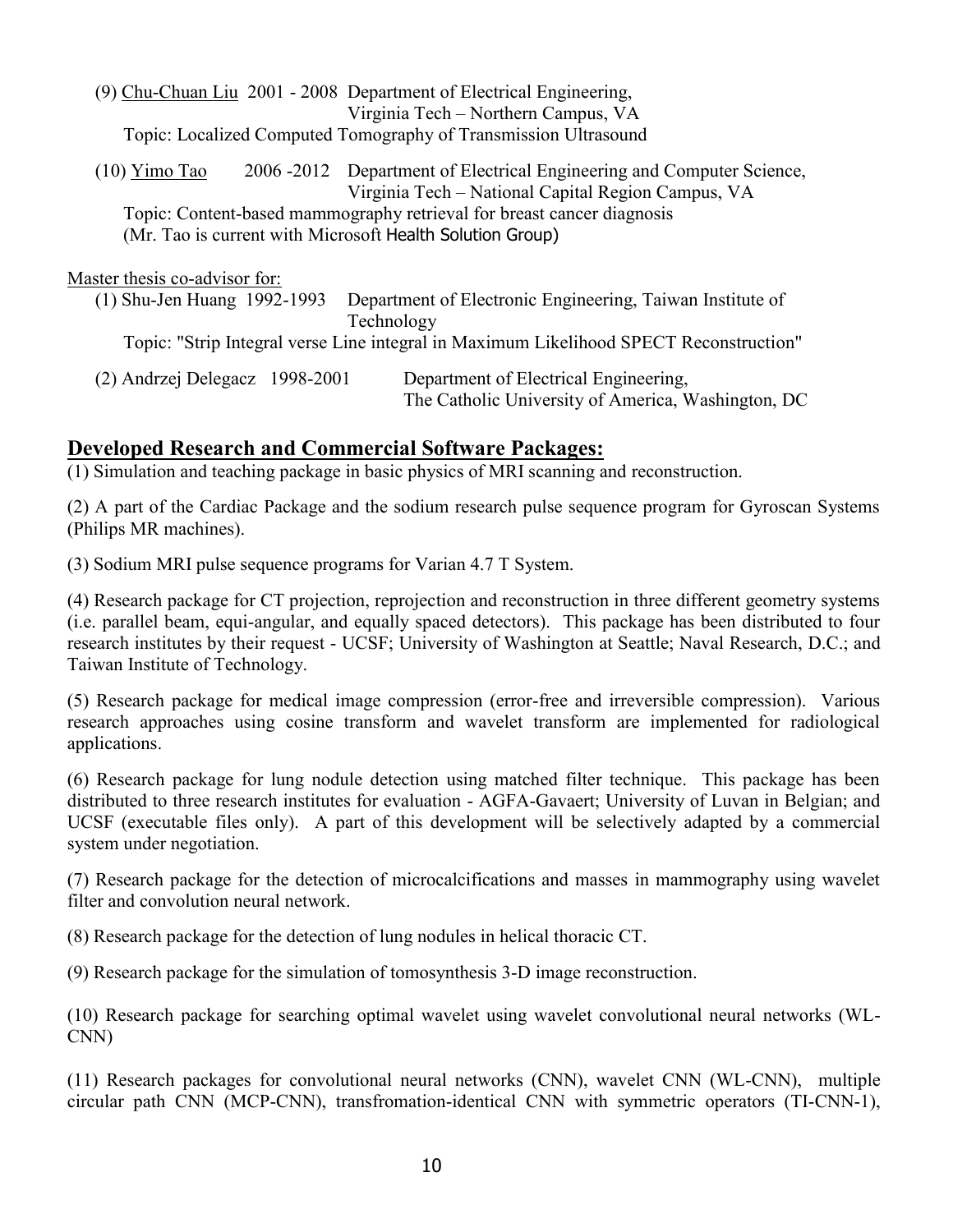|                                                           | (9) Chu-Chuan Liu 2001 - 2008 Department of Electrical Engineering,                                                         |  |  |
|-----------------------------------------------------------|-----------------------------------------------------------------------------------------------------------------------------|--|--|
|                                                           | Virginia Tech – Northern Campus, VA                                                                                         |  |  |
|                                                           | Topic: Localized Computed Tomography of Transmission Ultrasound                                                             |  |  |
| $(10)$ Yimo Tao                                           | 2006 -2012 Department of Electrical Engineering and Computer Science,<br>Virginia Tech – National Capital Region Campus, VA |  |  |
|                                                           | Topic: Content-based mammography retrieval for breast cancer diagnosis                                                      |  |  |
| (Mr. Tao is current with Microsoft Health Solution Group) |                                                                                                                             |  |  |
|                                                           |                                                                                                                             |  |  |
| Master thesis co-advisor for:                             |                                                                                                                             |  |  |
| (1) Shu-Jen Huang 1992-1993                               | Department of Electronic Engineering, Taiwan Institute of                                                                   |  |  |
|                                                           | Technology                                                                                                                  |  |  |
|                                                           | Topic: "Strip Integral verse Line integral in Maximum Likelihood SPECT Reconstruction"                                      |  |  |

(2) Andrzej Delegacz 1998-2001 Department of Electrical Engineering, The Catholic University of America, Washington, DC

## **Developed Research and Commercial Software Packages:**

(1) Simulation and teaching package in basic physics of MRI scanning and reconstruction.

(2) A part of the Cardiac Package and the sodium research pulse sequence program for Gyroscan Systems (Philips MR machines).

(3) Sodium MRI pulse sequence programs for Varian 4.7 T System.

(4) Research package for CT projection, reprojection and reconstruction in three different geometry systems (i.e. parallel beam, equi-angular, and equally spaced detectors). This package has been distributed to four research institutes by their request - UCSF; University of Washington at Seattle; Naval Research, D.C.; and Taiwan Institute of Technology.

(5) Research package for medical image compression (error-free and irreversible compression). Various research approaches using cosine transform and wavelet transform are implemented for radiological applications.

(6) Research package for lung nodule detection using matched filter technique. This package has been distributed to three research institutes for evaluation - AGFA-Gavaert; University of Luvan in Belgian; and UCSF (executable files only). A part of this development will be selectively adapted by a commercial system under negotiation.

(7) Research package for the detection of microcalcifications and masses in mammography using wavelet filter and convolution neural network.

(8) Research package for the detection of lung nodules in helical thoracic CT.

(9) Research package for the simulation of tomosynthesis 3-D image reconstruction.

(10) Research package for searching optimal wavelet using wavelet convolutional neural networks (WL-CNN)

(11) Research packages for convolutional neural networks (CNN), wavelet CNN (WL-CNN), multiple circular path CNN (MCP-CNN), transfromation-identical CNN with symmetric operators (TI-CNN-1),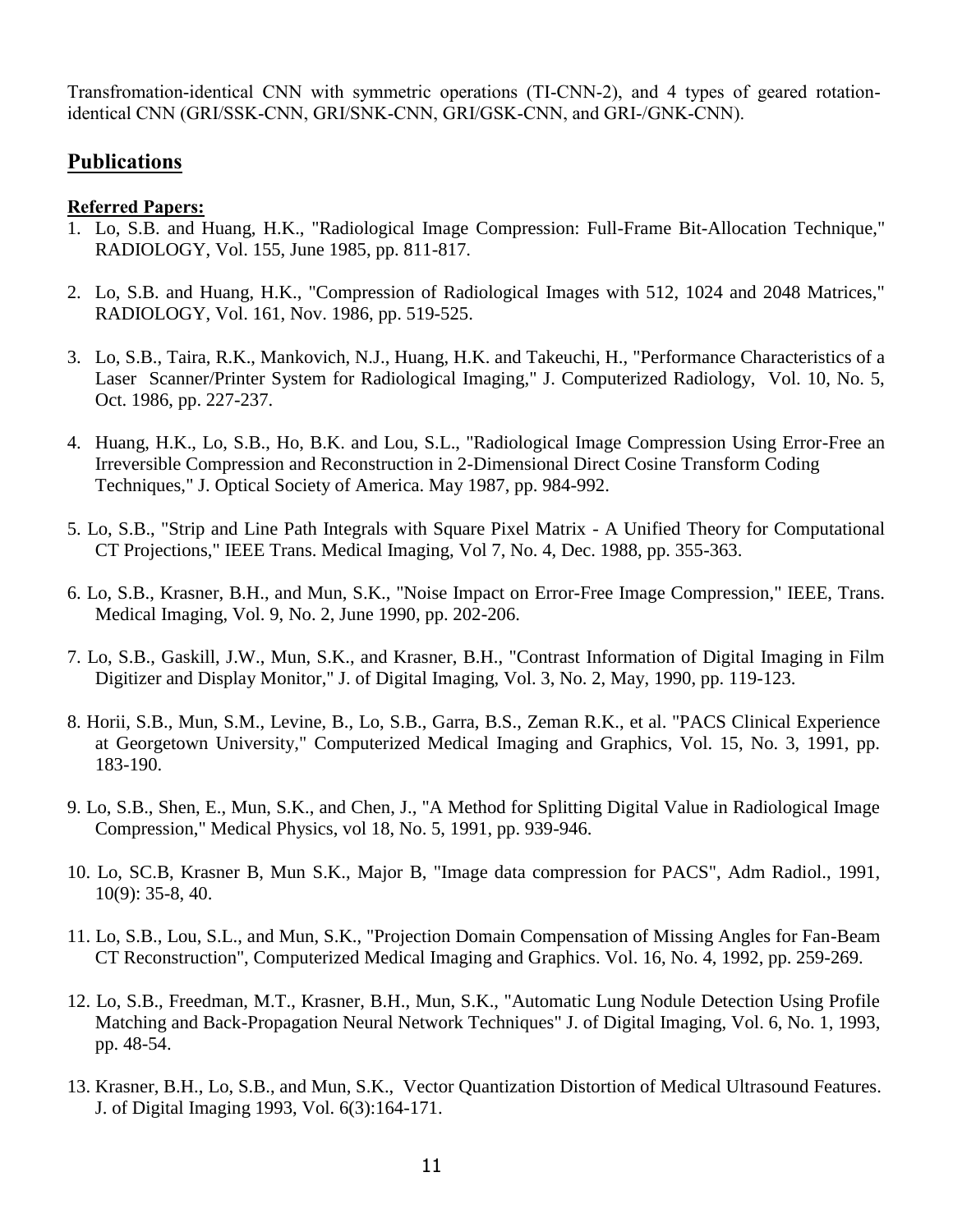Transfromation-identical CNN with symmetric operations (TI-CNN-2), and 4 types of geared rotationidentical CNN (GRI/SSK-CNN, GRI/SNK-CNN, GRI/GSK-CNN, and GRI-/GNK-CNN).

## **Publications**

#### **Referred Papers:**

- 1. Lo, S.B. and Huang, H.K., "Radiological Image Compression: Full-Frame Bit-Allocation Technique," RADIOLOGY, Vol. 155, June 1985, pp. 811-817.
- 2. Lo, S.B. and Huang, H.K., "Compression of Radiological Images with 512, 1024 and 2048 Matrices," RADIOLOGY, Vol. 161, Nov. 1986, pp. 519-525.
- 3. Lo, S.B., Taira, R.K., Mankovich, N.J., Huang, H.K. and Takeuchi, H., "Performance Characteristics of a Laser Scanner/Printer System for Radiological Imaging," J. Computerized Radiology, Vol. 10, No. 5, Oct. 1986, pp. 227-237.
- 4. Huang, H.K., Lo, S.B., Ho, B.K. and Lou, S.L., "Radiological Image Compression Using Error-Free an Irreversible Compression and Reconstruction in 2-Dimensional Direct Cosine Transform Coding Techniques," J. Optical Society of America. May 1987, pp. 984-992.
- 5. Lo, S.B., "Strip and Line Path Integrals with Square Pixel Matrix A Unified Theory for Computational CT Projections," IEEE Trans. Medical Imaging, Vol 7, No. 4, Dec. 1988, pp. 355-363.
- 6. Lo, S.B., Krasner, B.H., and Mun, S.K., "Noise Impact on Error-Free Image Compression," IEEE, Trans. Medical Imaging, Vol. 9, No. 2, June 1990, pp. 202-206.
- 7. Lo, S.B., Gaskill, J.W., Mun, S.K., and Krasner, B.H., "Contrast Information of Digital Imaging in Film Digitizer and Display Monitor," J. of Digital Imaging, Vol. 3, No. 2, May, 1990, pp. 119-123.
- 8. Horii, S.B., Mun, S.M., Levine, B., Lo, S.B., Garra, B.S., Zeman R.K., et al. "PACS Clinical Experience at Georgetown University," Computerized Medical Imaging and Graphics, Vol. 15, No. 3, 1991, pp. 183-190.
- 9. Lo, S.B., Shen, E., Mun, S.K., and Chen, J., "A Method for Splitting Digital Value in Radiological Image Compression," Medical Physics, vol 18, No. 5, 1991, pp. 939-946.
- 10. Lo, SC.B, Krasner B, Mun S.K., Major B, "Image data compression for PACS", Adm Radiol., 1991, 10(9): 35-8, 40.
- 11. Lo, S.B., Lou, S.L., and Mun, S.K., "Projection Domain Compensation of Missing Angles for Fan-Beam CT Reconstruction", Computerized Medical Imaging and Graphics. Vol. 16, No. 4, 1992, pp. 259-269.
- 12. Lo, S.B., Freedman, M.T., Krasner, B.H., Mun, S.K., "Automatic Lung Nodule Detection Using Profile Matching and Back-Propagation Neural Network Techniques" J. of Digital Imaging, Vol. 6, No. 1, 1993, pp. 48-54.
- 13. Krasner, B.H., Lo, S.B., and Mun, S.K., Vector Quantization Distortion of Medical Ultrasound Features. J. of Digital Imaging 1993, Vol. 6(3):164-171.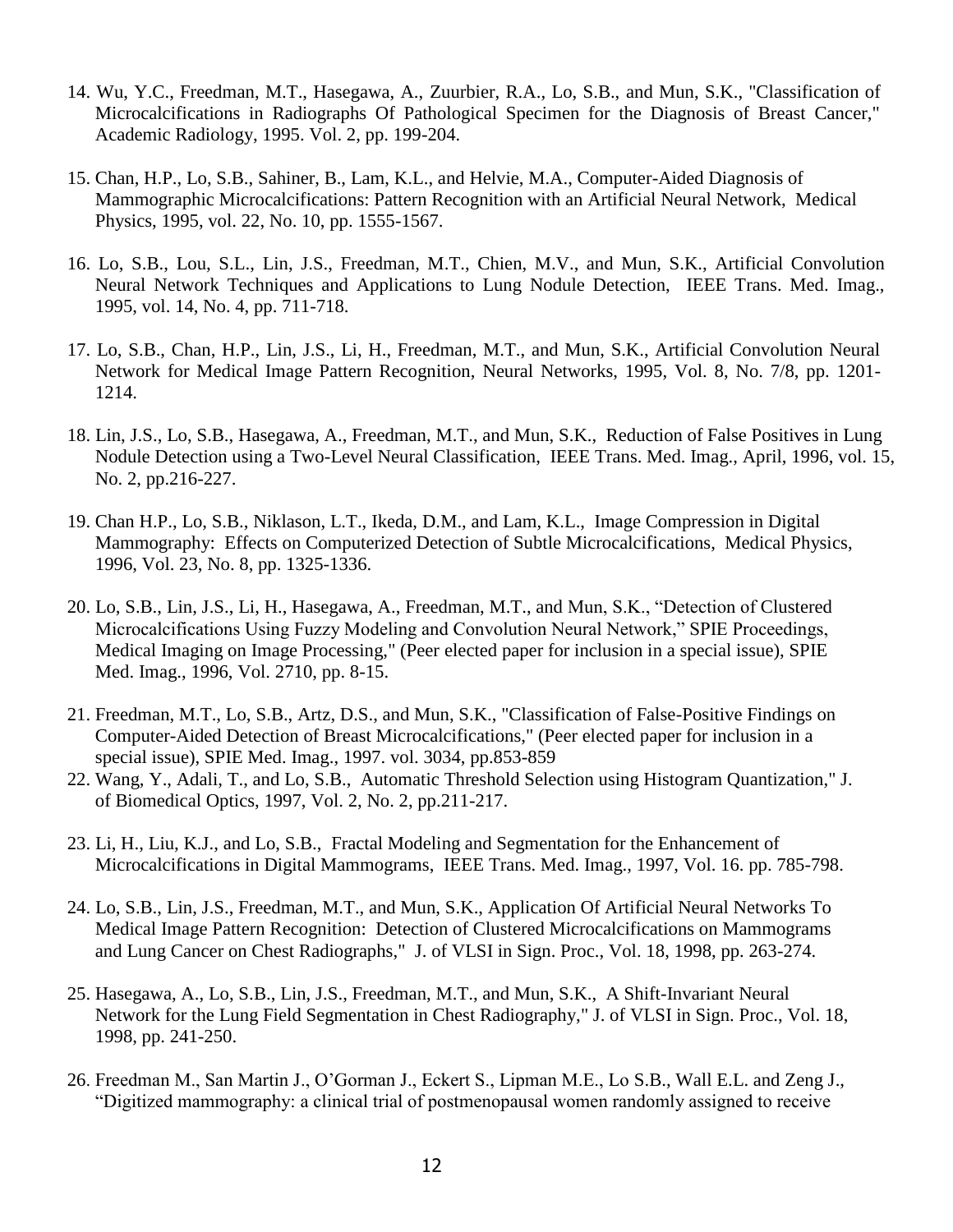- 14. Wu, Y.C., Freedman, M.T., Hasegawa, A., Zuurbier, R.A., Lo, S.B., and Mun, S.K., "Classification of Microcalcifications in Radiographs Of Pathological Specimen for the Diagnosis of Breast Cancer," Academic Radiology, 1995. Vol. 2, pp. 199-204.
- 15. Chan, H.P., Lo, S.B., Sahiner, B., Lam, K.L., and Helvie, M.A., Computer-Aided Diagnosis of Mammographic Microcalcifications: Pattern Recognition with an Artificial Neural Network, Medical Physics, 1995, vol. 22, No. 10, pp. 1555-1567.
- 16. Lo, S.B., Lou, S.L., Lin, J.S., Freedman, M.T., Chien, M.V., and Mun, S.K., Artificial Convolution Neural Network Techniques and Applications to Lung Nodule Detection, IEEE Trans. Med. Imag., 1995, vol. 14, No. 4, pp. 711-718.
- 17. Lo, S.B., Chan, H.P., Lin, J.S., Li, H., Freedman, M.T., and Mun, S.K., Artificial Convolution Neural Network for Medical Image Pattern Recognition, Neural Networks, 1995, Vol. 8, No. 7/8, pp. 1201- 1214.
- 18. Lin, J.S., Lo, S.B., Hasegawa, A., Freedman, M.T., and Mun, S.K., Reduction of False Positives in Lung Nodule Detection using a Two-Level Neural Classification, IEEE Trans. Med. Imag., April, 1996, vol. 15, No. 2, pp.216-227.
- 19. Chan H.P., Lo, S.B., Niklason, L.T., Ikeda, D.M., and Lam, K.L., Image Compression in Digital Mammography: Effects on Computerized Detection of Subtle Microcalcifications, Medical Physics, 1996, Vol. 23, No. 8, pp. 1325-1336.
- 20. Lo, S.B., Lin, J.S., Li, H., Hasegawa, A., Freedman, M.T., and Mun, S.K., "Detection of Clustered Microcalcifications Using Fuzzy Modeling and Convolution Neural Network," SPIE Proceedings, Medical Imaging on Image Processing," (Peer elected paper for inclusion in a special issue), SPIE Med. Imag., 1996, Vol. 2710, pp. 8-15.
- 21. Freedman, M.T., Lo, S.B., Artz, D.S., and Mun, S.K., "Classification of False-Positive Findings on Computer-Aided Detection of Breast Microcalcifications," (Peer elected paper for inclusion in a special issue), SPIE Med. Imag., 1997. vol. 3034, pp.853-859
- 22. Wang, Y., Adali, T., and Lo, S.B., Automatic Threshold Selection using Histogram Quantization," J. of Biomedical Optics, 1997, Vol. 2, No. 2, pp.211-217.
- 23. Li, H., Liu, K.J., and Lo, S.B., Fractal Modeling and Segmentation for the Enhancement of Microcalcifications in Digital Mammograms, IEEE Trans. Med. Imag., 1997, Vol. 16. pp. 785-798.
- 24. Lo, S.B., Lin, J.S., Freedman, M.T., and Mun, S.K., Application Of Artificial Neural Networks To Medical Image Pattern Recognition: Detection of Clustered Microcalcifications on Mammograms and Lung Cancer on Chest Radiographs," J. of VLSI in Sign. Proc., Vol. 18, 1998, pp. 263-274.
- 25. Hasegawa, A., Lo, S.B., Lin, J.S., Freedman, M.T., and Mun, S.K., A Shift-Invariant Neural Network for the Lung Field Segmentation in Chest Radiography," J. of VLSI in Sign. Proc., Vol. 18, 1998, pp. 241-250.
- 26. Freedman M., San Martin J., O'Gorman J., Eckert S., Lipman M.E., Lo S.B., Wall E.L. and Zeng J., "Digitized mammography: a clinical trial of postmenopausal women randomly assigned to receive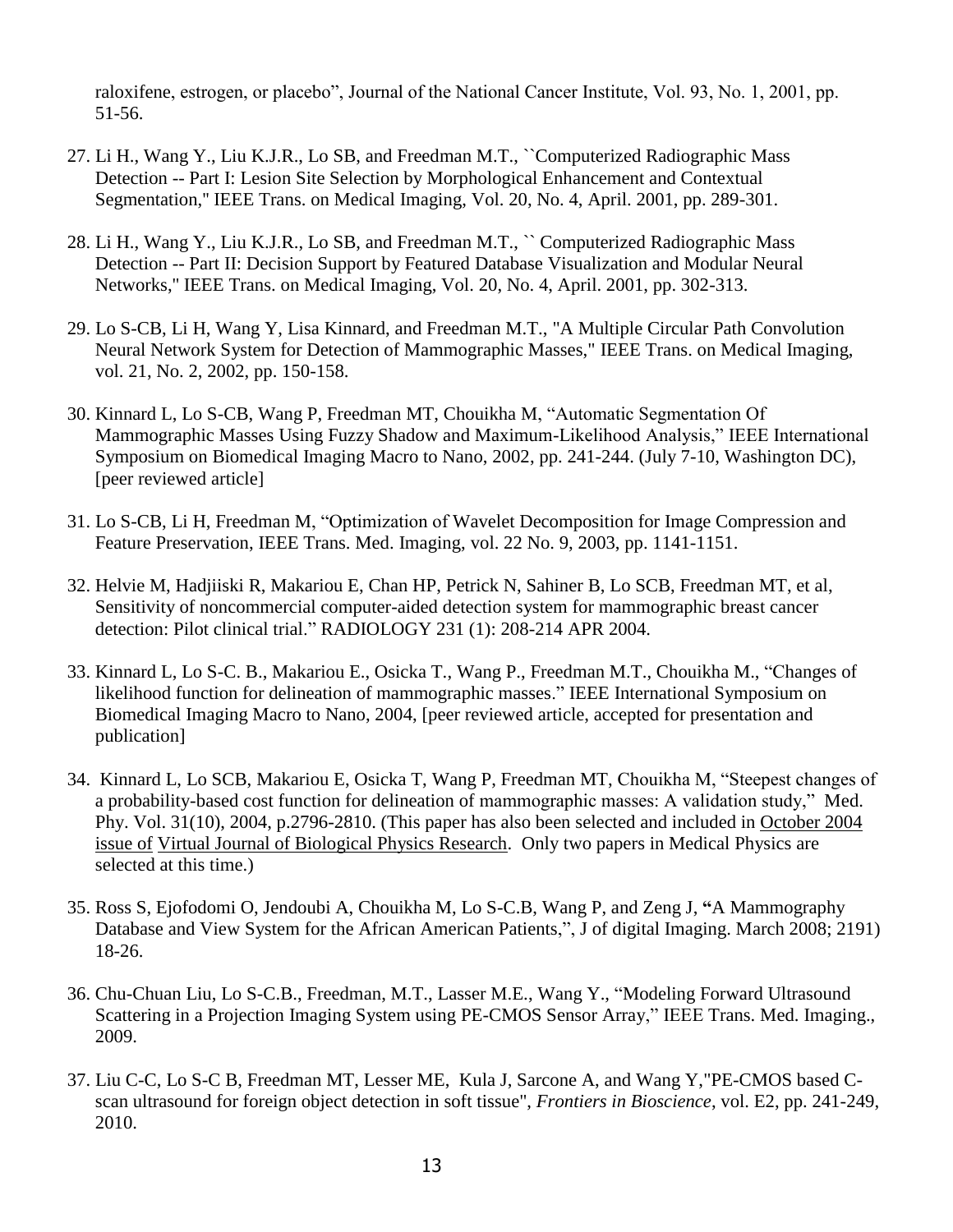raloxifene, estrogen, or placebo", Journal of the National Cancer Institute, Vol. 93, No. 1, 2001, pp. 51-56.

- 27. Li H., Wang Y., Liu K.J.R., Lo SB, and Freedman M.T., ``Computerized Radiographic Mass Detection -- Part I: Lesion Site Selection by Morphological Enhancement and Contextual Segmentation,'' IEEE Trans. on Medical Imaging, Vol. 20, No. 4, April. 2001, pp. 289-301.
- 28. Li H., Wang Y., Liu K.J.R., Lo SB, and Freedman M.T., `` Computerized Radiographic Mass Detection -- Part II: Decision Support by Featured Database Visualization and Modular Neural Networks,'' IEEE Trans. on Medical Imaging, Vol. 20, No. 4, April. 2001, pp. 302-313.
- 29. Lo S-CB, Li H, Wang Y, Lisa Kinnard, and Freedman M.T., "A Multiple Circular Path Convolution Neural Network System for Detection of Mammographic Masses," IEEE Trans. on Medical Imaging, vol. 21, No. 2, 2002, pp. 150-158.
- 30. Kinnard L, Lo S-CB, Wang P, Freedman MT, Chouikha M, "Automatic Segmentation Of Mammographic Masses Using Fuzzy Shadow and Maximum-Likelihood Analysis," IEEE International Symposium on Biomedical Imaging Macro to Nano, 2002, pp. 241-244. (July 7-10, Washington DC), [peer reviewed article]
- 31. Lo S-CB, Li H, Freedman M, "Optimization of Wavelet Decomposition for Image Compression and Feature Preservation, IEEE Trans. Med. Imaging, vol. 22 No. 9, 2003, pp. 1141-1151.
- 32. Helvie M, Hadjiiski R, Makariou E, Chan HP, Petrick N, Sahiner B, Lo SCB, Freedman MT, et al, Sensitivity of noncommercial computer-aided detection system for mammographic breast cancer detection: Pilot clinical trial." RADIOLOGY 231 (1): 208-214 APR 2004.
- 33. Kinnard L, Lo S-C. B., Makariou E., Osicka T., Wang P., Freedman M.T., Chouikha M., "Changes of likelihood function for delineation of mammographic masses." IEEE International Symposium on Biomedical Imaging Macro to Nano, 2004, [peer reviewed article, accepted for presentation and publication]
- 34. Kinnard L, Lo SCB, Makariou E, Osicka T, Wang P, Freedman MT, Chouikha M, "Steepest changes of a probability-based cost function for delineation of mammographic masses: A validation study," Med. Phy. Vol. 31(10), 2004, p.2796-2810. (This paper has also been selected and included in October 2004 issue of Virtual Journal of Biological Physics Research. Only two papers in Medical Physics are selected at this time.)
- 35. Ross S, Ejofodomi O, Jendoubi A, Chouikha M, Lo S-C.B, Wang P, and Zeng J, **"**A Mammography Database and View System for the African American Patients,", J of digital Imaging. March 2008; 2191) 18-26.
- 36. Chu-Chuan Liu, Lo S-C.B., Freedman, M.T., Lasser M.E., Wang Y., "Modeling Forward Ultrasound Scattering in a Projection Imaging System using PE-CMOS Sensor Array," IEEE Trans. Med. Imaging., 2009.
- 37. Liu C-C, Lo S-C B, Freedman MT, Lesser ME, Kula J, Sarcone A, and Wang Y,"PE-CMOS based Cscan ultrasound for foreign object detection in soft tissue", *Frontiers in Bioscience*, vol. E2, pp. 241-249, 2010.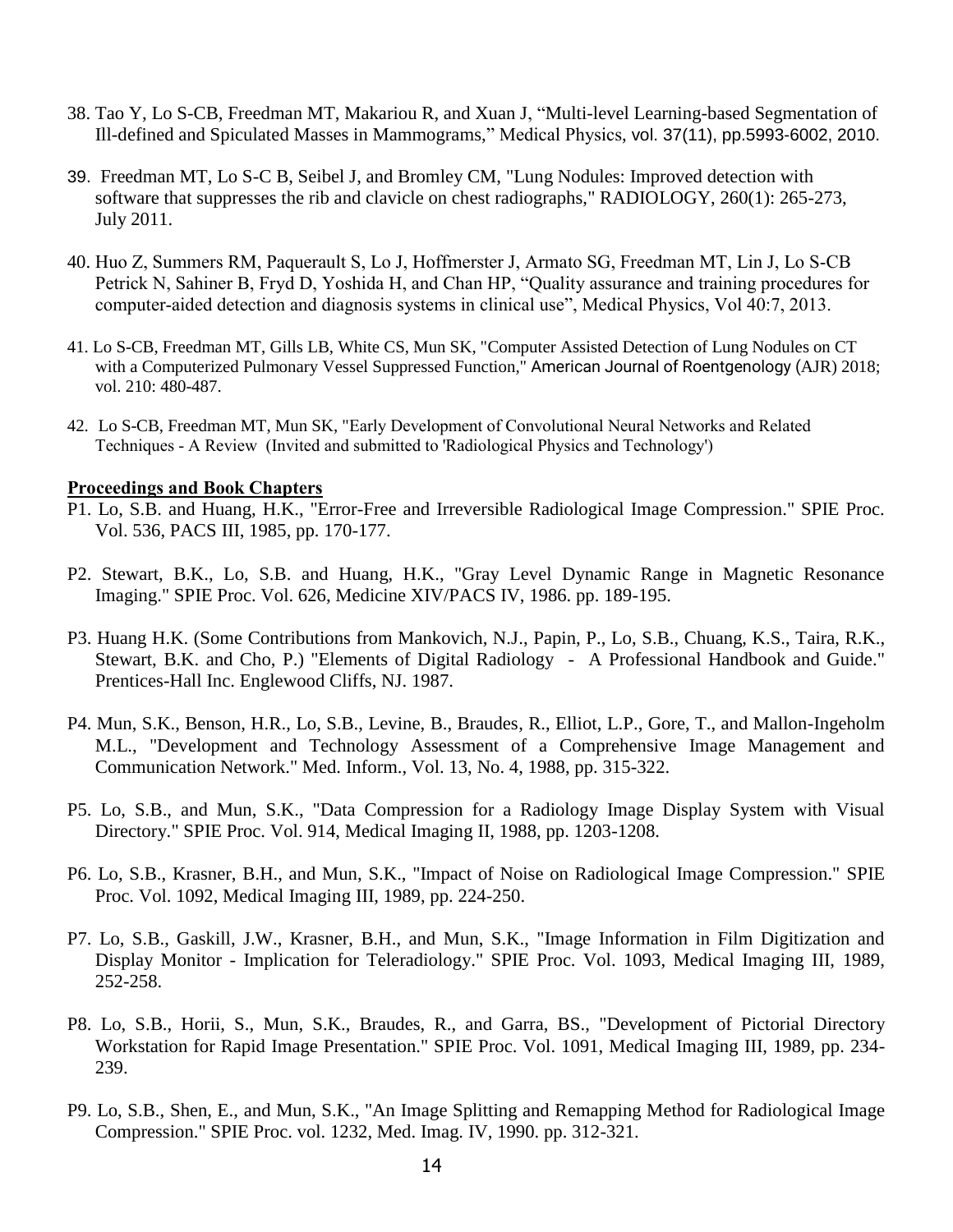- 38. Tao Y, Lo S-CB, Freedman MT, Makariou R, and Xuan J, "Multi-level Learning-based Segmentation of Ill-defined and Spiculated Masses in Mammograms," Medical Physics, vol. 37(11), pp.5993-6002, 2010.
- 39. Freedman MT, Lo S-C B, Seibel J, and Bromley CM, "Lung Nodules: Improved detection with software that suppresses the rib and clavicle on chest radiographs," RADIOLOGY, 260(1): 265-273, July 2011.
- 40. Huo Z, Summers RM, Paquerault S, Lo J, Hoffmerster J, Armato SG, Freedman MT, Lin J, Lo S-CB Petrick N, Sahiner B, Fryd D, Yoshida H, and Chan HP, "Quality assurance and training procedures for computer-aided detection and diagnosis systems in clinical use", Medical Physics, Vol 40:7, 2013.
- 41. Lo S-CB, Freedman MT, Gills LB, White CS, Mun SK, "Computer Assisted Detection of Lung Nodules on CT with a Computerized Pulmonary Vessel Suppressed Function," American Journal of Roentgenology (AJR) 2018; vol. 210: 480-487.
- 42. Lo S-CB, Freedman MT, Mun SK, "Early Development of Convolutional Neural Networks and Related Techniques - A Review (Invited and submitted to 'Radiological Physics and Technology')

#### **Proceedings and Book Chapters**

- P1. Lo, S.B. and Huang, H.K., "Error-Free and Irreversible Radiological Image Compression." SPIE Proc. Vol. 536, PACS III, 1985, pp. 170-177.
- P2. Stewart, B.K., Lo, S.B. and Huang, H.K., "Gray Level Dynamic Range in Magnetic Resonance Imaging." SPIE Proc. Vol. 626, Medicine XIV/PACS IV, 1986. pp. 189-195.
- P3. Huang H.K. (Some Contributions from Mankovich, N.J., Papin, P., Lo, S.B., Chuang, K.S., Taira, R.K., Stewart, B.K. and Cho, P.) "Elements of Digital Radiology - A Professional Handbook and Guide." Prentices-Hall Inc. Englewood Cliffs, NJ. 1987.
- P4. Mun, S.K., Benson, H.R., Lo, S.B., Levine, B., Braudes, R., Elliot, L.P., Gore, T., and Mallon-Ingeholm M.L., "Development and Technology Assessment of a Comprehensive Image Management and Communication Network." Med. Inform., Vol. 13, No. 4, 1988, pp. 315-322.
- P5. Lo, S.B., and Mun, S.K., "Data Compression for a Radiology Image Display System with Visual Directory." SPIE Proc. Vol. 914, Medical Imaging II, 1988, pp. 1203-1208.
- P6. Lo, S.B., Krasner, B.H., and Mun, S.K., "Impact of Noise on Radiological Image Compression." SPIE Proc. Vol. 1092, Medical Imaging III, 1989, pp. 224-250.
- P7. Lo, S.B., Gaskill, J.W., Krasner, B.H., and Mun, S.K., "Image Information in Film Digitization and Display Monitor - Implication for Teleradiology." SPIE Proc. Vol. 1093, Medical Imaging III, 1989, 252-258.
- P8. Lo, S.B., Horii, S., Mun, S.K., Braudes, R., and Garra, BS., "Development of Pictorial Directory Workstation for Rapid Image Presentation." SPIE Proc. Vol. 1091, Medical Imaging III, 1989, pp. 234- 239.
- P9. Lo, S.B., Shen, E., and Mun, S.K., "An Image Splitting and Remapping Method for Radiological Image Compression." SPIE Proc. vol. 1232, Med. Imag. IV, 1990. pp. 312-321.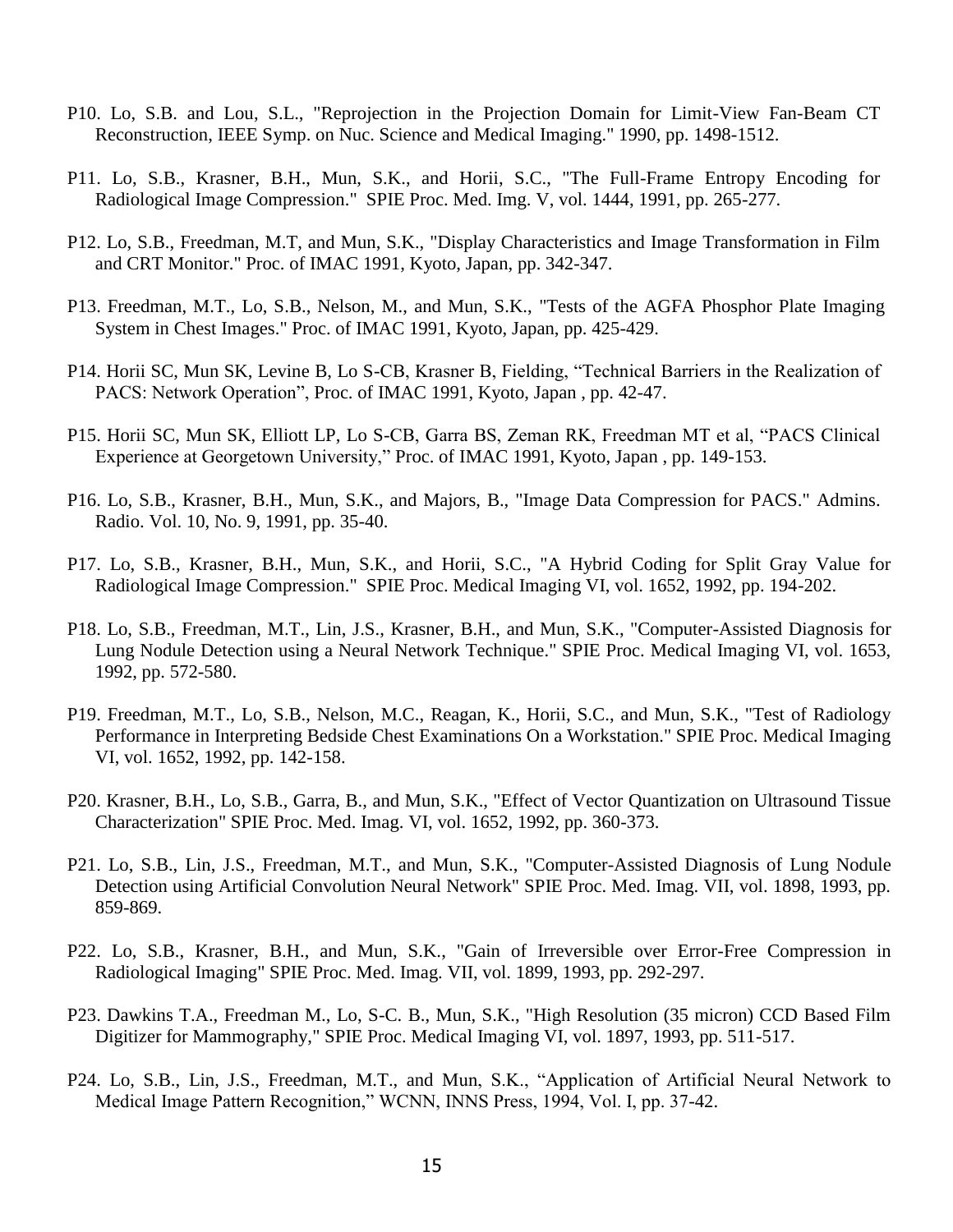- P10. Lo, S.B. and Lou, S.L., "Reprojection in the Projection Domain for Limit-View Fan-Beam CT Reconstruction, IEEE Symp. on Nuc. Science and Medical Imaging." 1990, pp. 1498-1512.
- P11. Lo, S.B., Krasner, B.H., Mun, S.K., and Horii, S.C., "The Full-Frame Entropy Encoding for Radiological Image Compression." SPIE Proc. Med. Img. V, vol. 1444, 1991, pp. 265-277.
- P12. Lo, S.B., Freedman, M.T, and Mun, S.K., "Display Characteristics and Image Transformation in Film and CRT Monitor." Proc. of IMAC 1991, Kyoto, Japan, pp. 342-347.
- P13. Freedman, M.T., Lo, S.B., Nelson, M., and Mun, S.K., "Tests of the AGFA Phosphor Plate Imaging System in Chest Images." Proc. of IMAC 1991, Kyoto, Japan, pp. 425-429.
- P14. Horii SC, Mun SK, Levine B, Lo S-CB, Krasner B, Fielding, "Technical Barriers in the Realization of PACS: Network Operation", Proc. of IMAC 1991, Kyoto, Japan , pp. 42-47.
- P15. Horii SC, Mun SK, Elliott LP, Lo S-CB, Garra BS, Zeman RK, Freedman MT et al, "PACS Clinical Experience at Georgetown University," Proc. of IMAC 1991, Kyoto, Japan , pp. 149-153.
- P16. Lo, S.B., Krasner, B.H., Mun, S.K., and Majors, B., "Image Data Compression for PACS." Admins. Radio. Vol. 10, No. 9, 1991, pp. 35-40.
- P17. Lo, S.B., Krasner, B.H., Mun, S.K., and Horii, S.C., "A Hybrid Coding for Split Gray Value for Radiological Image Compression." SPIE Proc. Medical Imaging VI, vol. 1652, 1992, pp. 194-202.
- P18. Lo, S.B., Freedman, M.T., Lin, J.S., Krasner, B.H., and Mun, S.K., "Computer-Assisted Diagnosis for Lung Nodule Detection using a Neural Network Technique." SPIE Proc. Medical Imaging VI, vol. 1653, 1992, pp. 572-580.
- P19. Freedman, M.T., Lo, S.B., Nelson, M.C., Reagan, K., Horii, S.C., and Mun, S.K., "Test of Radiology Performance in Interpreting Bedside Chest Examinations On a Workstation." SPIE Proc. Medical Imaging VI, vol. 1652, 1992, pp. 142-158.
- P20. Krasner, B.H., Lo, S.B., Garra, B., and Mun, S.K., "Effect of Vector Quantization on Ultrasound Tissue Characterization" SPIE Proc. Med. Imag. VI, vol. 1652, 1992, pp. 360-373.
- P21. Lo, S.B., Lin, J.S., Freedman, M.T., and Mun, S.K., "Computer-Assisted Diagnosis of Lung Nodule Detection using Artificial Convolution Neural Network" SPIE Proc. Med. Imag. VII, vol. 1898, 1993, pp. 859-869.
- P22. Lo, S.B., Krasner, B.H., and Mun, S.K., "Gain of Irreversible over Error-Free Compression in Radiological Imaging" SPIE Proc. Med. Imag. VII, vol. 1899, 1993, pp. 292-297.
- P23. Dawkins T.A., Freedman M., Lo, S-C. B., Mun, S.K., "High Resolution (35 micron) CCD Based Film Digitizer for Mammography," SPIE Proc. Medical Imaging VI, vol. 1897, 1993, pp. 511-517.
- P24. Lo, S.B., Lin, J.S., Freedman, M.T., and Mun, S.K., "Application of Artificial Neural Network to Medical Image Pattern Recognition," WCNN, INNS Press, 1994, Vol. I, pp. 37-42.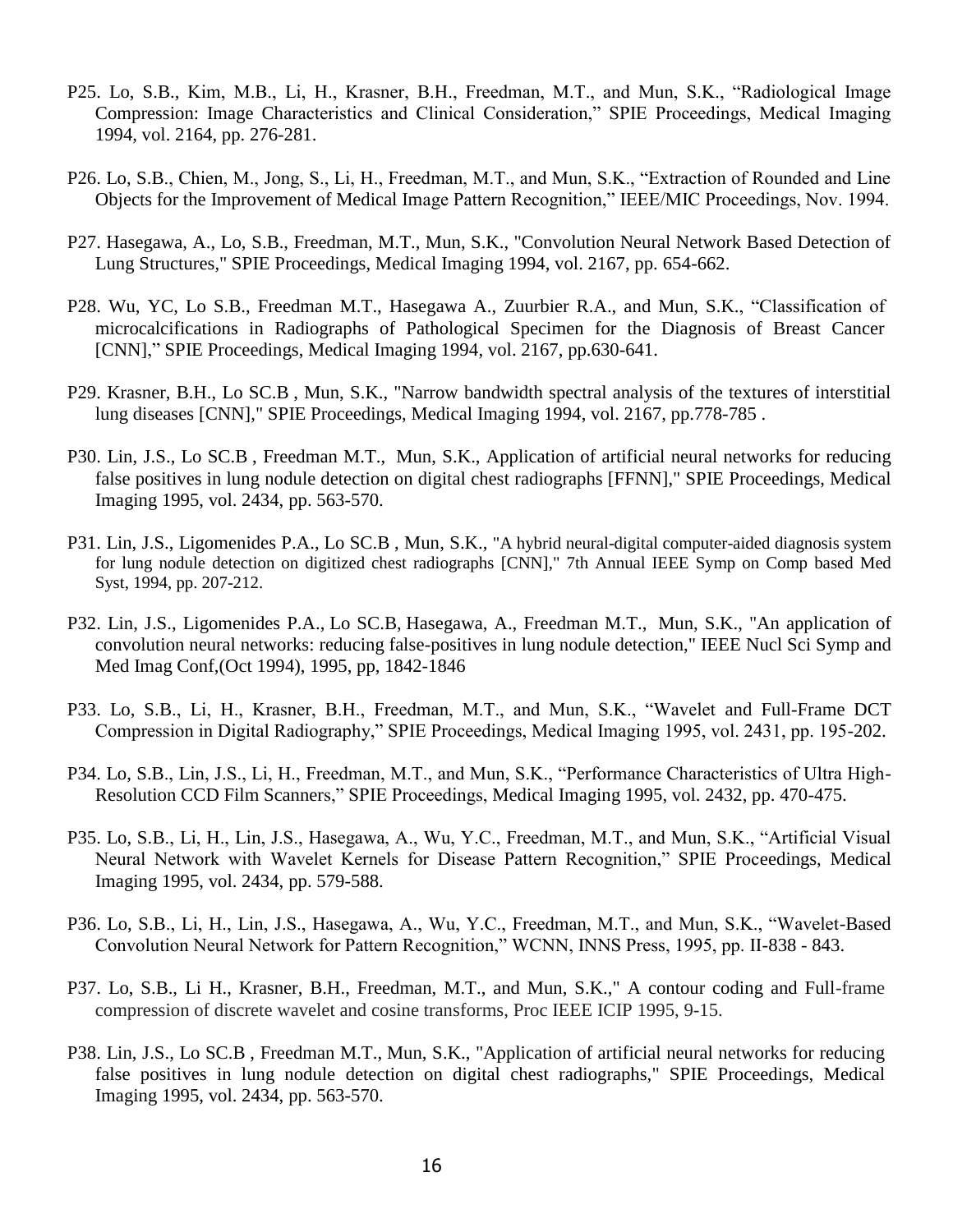- P25. Lo, S.B., Kim, M.B., Li, H., Krasner, B.H., Freedman, M.T., and Mun, S.K., "Radiological Image Compression: Image Characteristics and Clinical Consideration," SPIE Proceedings, Medical Imaging 1994, vol. 2164, pp. 276-281.
- P26. Lo, S.B., Chien, M., Jong, S., Li, H., Freedman, M.T., and Mun, S.K., "Extraction of Rounded and Line Objects for the Improvement of Medical Image Pattern Recognition," IEEE/MIC Proceedings, Nov. 1994.
- P27. Hasegawa, A., Lo, S.B., Freedman, M.T., Mun, S.K., "Convolution Neural Network Based Detection of Lung Structures," SPIE Proceedings, Medical Imaging 1994, vol. 2167, pp. 654-662.
- P28. Wu, YC, Lo S.B., Freedman M.T., Hasegawa A., Zuurbier R.A., and Mun, S.K., "Classification of microcalcifications in Radiographs of Pathological Specimen for the Diagnosis of Breast Cancer [CNN]," SPIE Proceedings, Medical Imaging 1994, vol. 2167, pp.630-641.
- P29. Krasner, B.H., Lo SC.B , Mun, S.K., "Narrow bandwidth spectral analysis of the textures of interstitial lung diseases [CNN]," SPIE Proceedings, Medical Imaging 1994, vol. 2167, pp.778-785 .
- P30. Lin, J.S., Lo SC.B , Freedman M.T., Mun, S.K., [Application of artificial neural networks for reducing](https://www.researchgate.net/publication/253887051_Application_of_artificial_neural_networks_for_reducing_false_positives_in_lung_nodule_detection_on_digital_chest_radiiographs?ev=auth_pub)  [false positives in lung nodule detection on digital chest radiographs](https://www.researchgate.net/publication/253887051_Application_of_artificial_neural_networks_for_reducing_false_positives_in_lung_nodule_detection_on_digital_chest_radiiographs?ev=auth_pub) [FFNN]," SPIE Proceedings, Medical Imaging 1995, vol. 2434, pp. 563-570.
- P31. Lin, J.S., Ligomenides P.A., Lo SC.B , Mun, S.K., "A hybrid neural-digital computer-aided diagnosis system for lung nodule detection on digitized chest radiographs [CNN]," 7th Annual IEEE Symp on Comp based Med Syst, 1994, pp. 207-212.
- P32. Lin, J.S., Ligomenides P.A., Lo SC.B, Hasegawa, A., Freedman M.T., Mun, S.K., "An application of convolution neural networks: reducing false-positives in lung nodule detection," IEEE Nucl Sci Symp and Med Imag Conf,(Oct 1994), 1995, pp, 1842-1846
- P33. Lo, S.B., Li, H., Krasner, B.H., Freedman, M.T., and Mun, S.K., "Wavelet and Full-Frame DCT Compression in Digital Radiography," SPIE Proceedings, Medical Imaging 1995, vol. 2431, pp. 195-202.
- P34. Lo, S.B., Lin, J.S., Li, H., Freedman, M.T., and Mun, S.K., "Performance Characteristics of Ultra High-Resolution CCD Film Scanners," SPIE Proceedings, Medical Imaging 1995, vol. 2432, pp. 470-475.
- P35. Lo, S.B., Li, H., Lin, J.S., Hasegawa, A., Wu, Y.C., Freedman, M.T., and Mun, S.K., "Artificial Visual Neural Network with Wavelet Kernels for Disease Pattern Recognition," SPIE Proceedings, Medical Imaging 1995, vol. 2434, pp. 579-588.
- P36. Lo, S.B., Li, H., Lin, J.S., Hasegawa, A., Wu, Y.C., Freedman, M.T., and Mun, S.K., "Wavelet-Based Convolution Neural Network for Pattern Recognition," WCNN, INNS Press, 1995, pp. II-838 - 843.
- P37. Lo, S.B., Li H., Krasner, B.H., Freedman, M.T., and Mun, S.K.," A contour coding and Full-frame compression of discrete wavelet and cosine transforms, Proc IEEE ICIP 1995, 9-15.
- P38. Lin, J.S., Lo SC.B , Freedman M.T., Mun, S.K., "Application of artificial neural networks for reducing false positives in lung nodule detection on digital chest radiographs," SPIE Proceedings, Medical Imaging 1995, vol. 2434, pp. 563-570.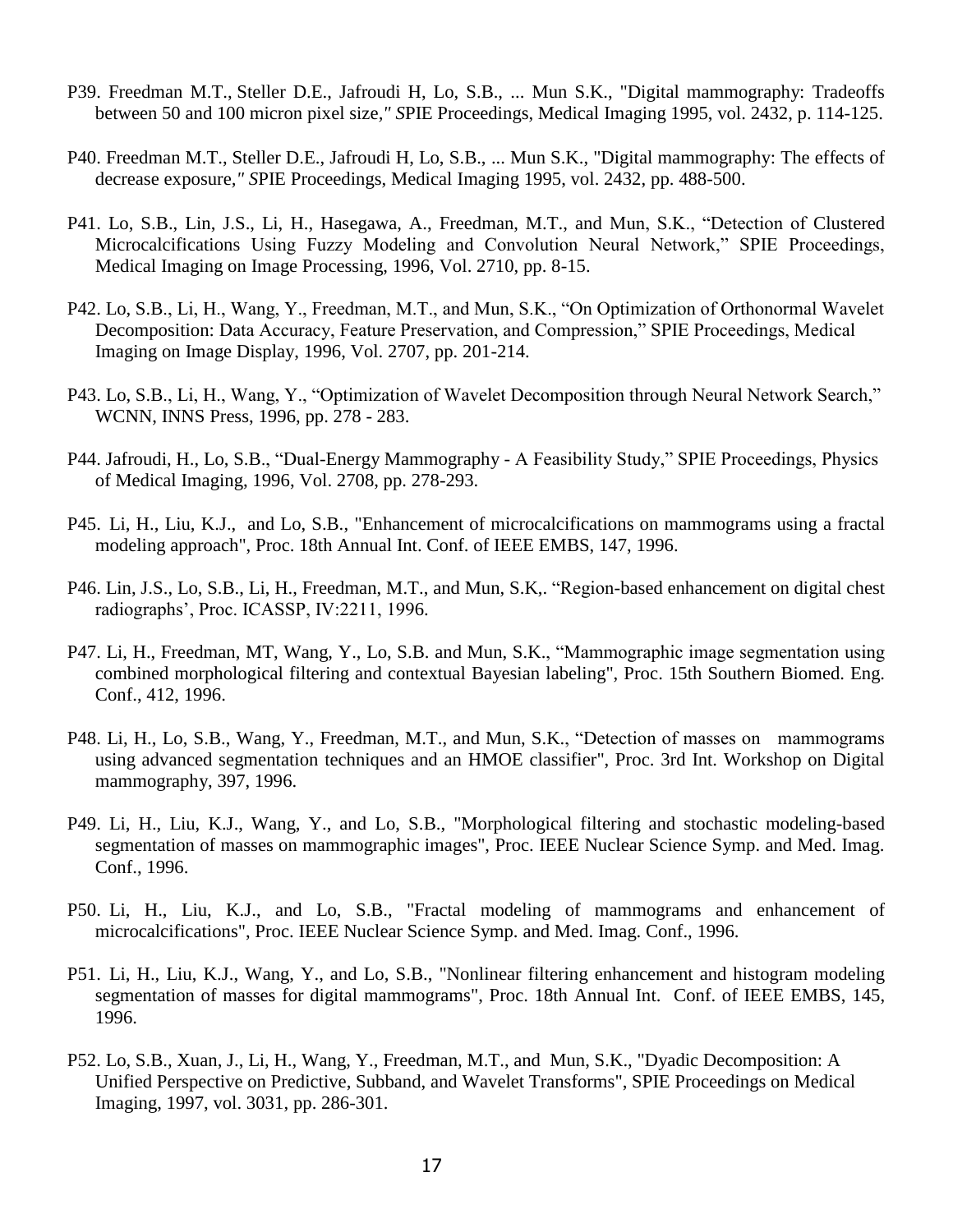- P39. Freedman M.T., Steller D.E., Jafroudi H, Lo, S.B., ... Mun S.K., "Digital mammography: Tradeoffs between 50 and 100 micron pixel size*," S*PIE Proceedings, Medical Imaging 1995, vol. 2432, p. 114-125.
- P40. Freedman M.T., Steller D.E., Jafroudi H, Lo, S.B., ... Mun S.K., "Digital mammography: The effects of decrease exposure*," S*PIE Proceedings, Medical Imaging 1995, vol. 2432, pp. 488-500.
- P41. Lo, S.B., Lin, J.S., Li, H., Hasegawa, A., Freedman, M.T., and Mun, S.K., "Detection of Clustered Microcalcifications Using Fuzzy Modeling and Convolution Neural Network," SPIE Proceedings, Medical Imaging on Image Processing, 1996, Vol. 2710, pp. 8-15.
- P42. Lo, S.B., Li, H., Wang, Y., Freedman, M.T., and Mun, S.K., "On Optimization of Orthonormal Wavelet Decomposition: Data Accuracy, Feature Preservation, and Compression," SPIE Proceedings, Medical Imaging on Image Display, 1996, Vol. 2707, pp. 201-214.
- P43. Lo, S.B., Li, H., Wang, Y., "Optimization of Wavelet Decomposition through Neural Network Search," WCNN, INNS Press, 1996, pp. 278 - 283.
- P44. Jafroudi, H., Lo, S.B., "Dual-Energy Mammography A Feasibility Study," SPIE Proceedings, Physics of Medical Imaging, 1996, Vol. 2708, pp. 278-293.
- P45. Li, H., Liu, K.J., and Lo, S.B., "Enhancement of microcalcifications on mammograms using a fractal modeling approach", Proc. 18th Annual Int. Conf. of IEEE EMBS, 147, 1996.
- P46. Lin, J.S., Lo, S.B., Li, H., Freedman, M.T., and Mun, S.K,. "Region-based enhancement on digital chest radiographs', Proc. ICASSP, IV:2211, 1996.
- P47. Li, H., Freedman, MT, Wang, Y., Lo, S.B. and Mun, S.K., "Mammographic image segmentation using combined morphological filtering and contextual Bayesian labeling", Proc. 15th Southern Biomed. Eng. Conf., 412, 1996.
- P48. Li, H., Lo, S.B., Wang, Y., Freedman, M.T., and Mun, S.K., "Detection of masses on mammograms using advanced segmentation techniques and an HMOE classifier", Proc. 3rd Int. Workshop on Digital mammography, 397, 1996.
- P49. Li, H., Liu, K.J., Wang, Y., and Lo, S.B., "Morphological filtering and stochastic modeling-based segmentation of masses on mammographic images", Proc. IEEE Nuclear Science Symp. and Med. Imag. Conf., 1996.
- P50. Li, H., Liu, K.J., and Lo, S.B., "Fractal modeling of mammograms and enhancement of microcalcifications", Proc. IEEE Nuclear Science Symp. and Med. Imag. Conf., 1996.
- P51. Li, H., Liu, K.J., Wang, Y., and Lo, S.B., "Nonlinear filtering enhancement and histogram modeling segmentation of masses for digital mammograms", Proc. 18th Annual Int. Conf. of IEEE EMBS, 145, 1996.
- P52. Lo, S.B., Xuan, J., Li, H., Wang, Y., Freedman, M.T., and Mun, S.K., "Dyadic Decomposition: A Unified Perspective on Predictive, Subband, and Wavelet Transforms", SPIE Proceedings on Medical Imaging, 1997, vol. 3031, pp. 286-301.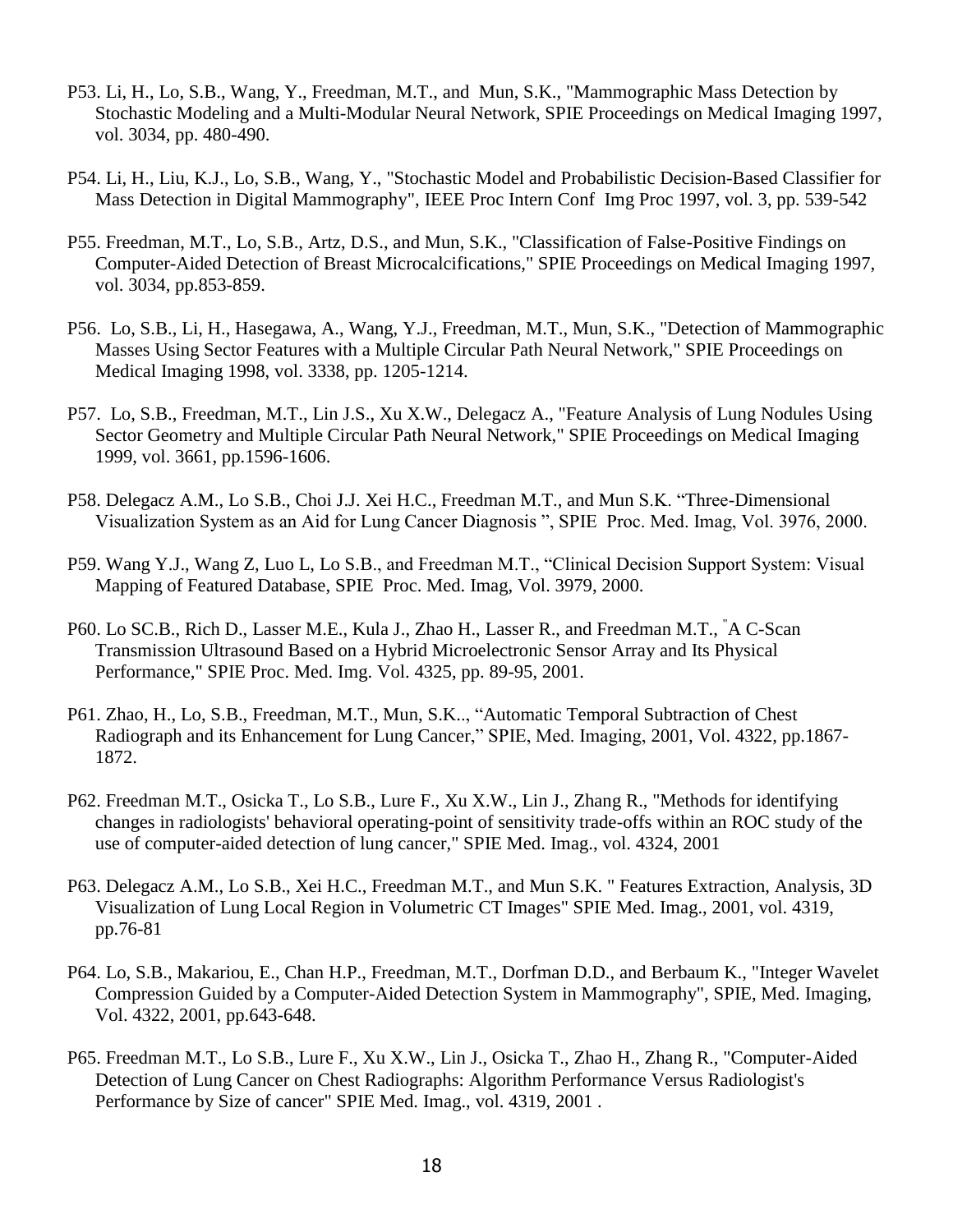- P53. Li, H., Lo, S.B., Wang, Y., Freedman, M.T., and Mun, S.K., "Mammographic Mass Detection by Stochastic Modeling and a Multi-Modular Neural Network, SPIE Proceedings on Medical Imaging 1997, vol. 3034, pp. 480-490.
- P54. Li, H., Liu, K.J., Lo, S.B., Wang, Y., "Stochastic Model and Probabilistic Decision-Based Classifier for Mass Detection in Digital Mammography", IEEE Proc Intern Conf Img Proc 1997, vol. 3, pp. 539-542
- P55. Freedman, M.T., Lo, S.B., Artz, D.S., and Mun, S.K., "Classification of False-Positive Findings on Computer-Aided Detection of Breast Microcalcifications," SPIE Proceedings on Medical Imaging 1997, vol. 3034, pp.853-859.
- P56. Lo, S.B., Li, H., Hasegawa, A., Wang, Y.J., Freedman, M.T., Mun, S.K., "Detection of Mammographic Masses Using Sector Features with a Multiple Circular Path Neural Network," SPIE Proceedings on Medical Imaging 1998, vol. 3338, pp. 1205-1214.
- P57. Lo, S.B., Freedman, M.T., Lin J.S., Xu X.W., Delegacz A., "Feature Analysis of Lung Nodules Using Sector Geometry and Multiple Circular Path Neural Network," SPIE Proceedings on Medical Imaging 1999, vol. 3661, pp.1596-1606.
- P58. Delegacz A.M., Lo S.B., Choi J.J. Xei H.C., Freedman M.T., and Mun S.K. "Three-Dimensional Visualization System as an Aid for Lung Cancer Diagnosis ", SPIE Proc. Med. Imag, Vol. 3976, 2000.
- P59. Wang Y.J., Wang Z, Luo L, Lo S.B., and Freedman M.T., "Clinical Decision Support System: Visual Mapping of Featured Database, SPIE Proc. Med. Imag, Vol. 3979, 2000.
- P60. Lo SC.B., Rich D., Lasser M.E., Kula J., Zhao H., Lasser R., and Freedman M.T., "A C-Scan Transmission Ultrasound Based on a Hybrid Microelectronic Sensor Array and Its Physical Performance," SPIE Proc. Med. Img. Vol. 4325, pp. 89-95, 2001.
- P61. Zhao, H., Lo, S.B., Freedman, M.T., Mun, S.K.., "Automatic Temporal Subtraction of Chest Radiograph and its Enhancement for Lung Cancer," SPIE, Med. Imaging, 2001, Vol. 4322, pp.1867- 1872.
- P62. Freedman M.T., Osicka T., Lo S.B., Lure F., Xu X.W., Lin J., Zhang R., "Methods for identifying changes in radiologists' behavioral operating-point of sensitivity trade-offs within an ROC study of the use of computer-aided detection of lung cancer," SPIE Med. Imag., vol. 4324, 2001
- P63. Delegacz A.M., Lo S.B., Xei H.C., Freedman M.T., and Mun S.K. " Features Extraction, Analysis, 3D Visualization of Lung Local Region in Volumetric CT Images" SPIE Med. Imag., 2001, vol. 4319, pp.76-81
- P64. Lo, S.B., Makariou, E., Chan H.P., Freedman, M.T., Dorfman D.D., and Berbaum K., "Integer Wavelet Compression Guided by a Computer-Aided Detection System in Mammography", SPIE, Med. Imaging, Vol. 4322, 2001, pp.643-648.
- P65. Freedman M.T., Lo S.B., Lure F., Xu X.W., Lin J., Osicka T., Zhao H., Zhang R., "Computer-Aided Detection of Lung Cancer on Chest Radiographs: Algorithm Performance Versus Radiologist's Performance by Size of cancer" SPIE Med. Imag., vol. 4319, 2001 .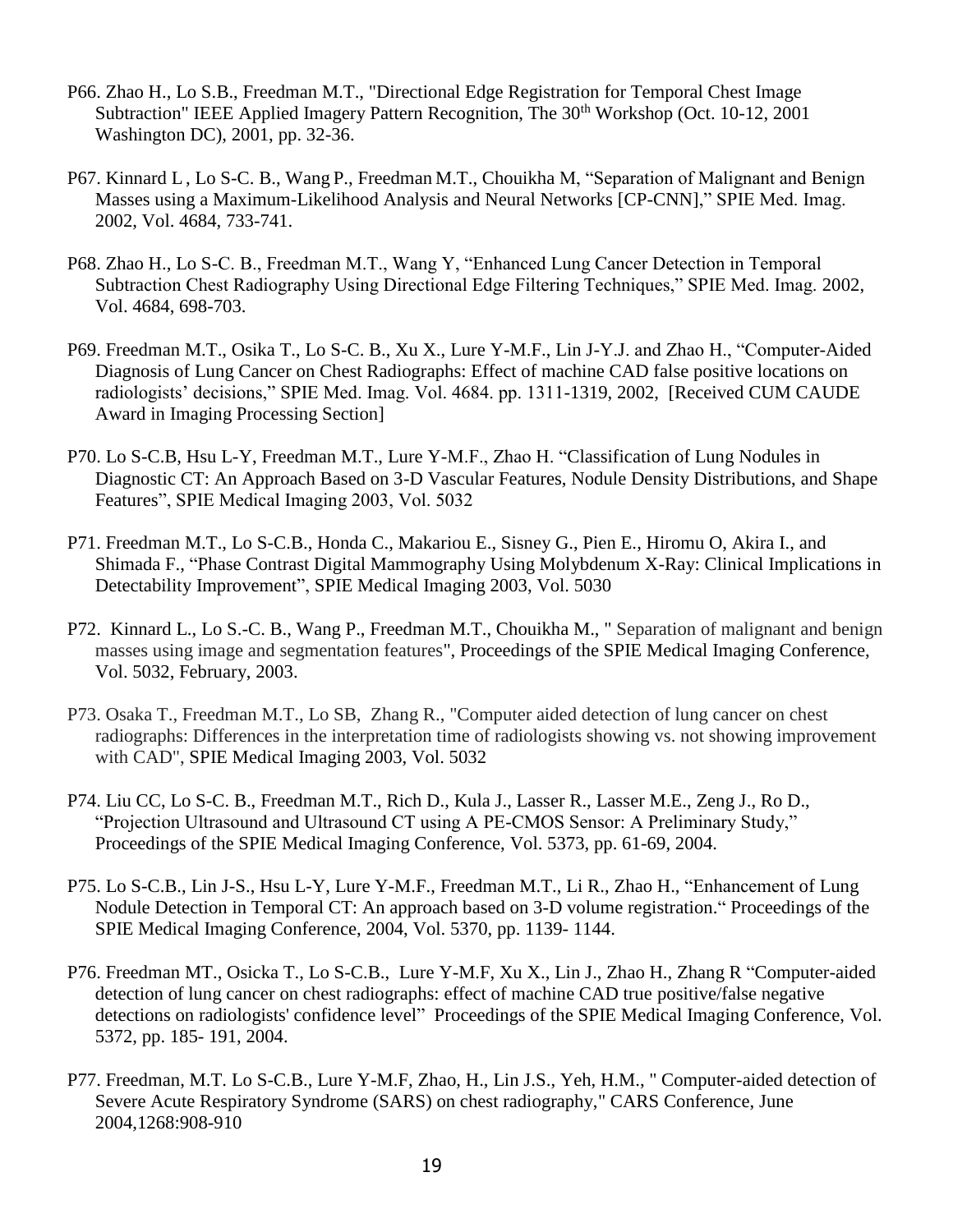- P66. Zhao H., Lo S.B., Freedman M.T., "Directional Edge Registration for Temporal Chest Image Subtraction" IEEE Applied Imagery Pattern Recognition, The 30<sup>th</sup> Workshop (Oct. 10-12, 2001) Washington DC), 2001, pp. 32-36.
- P67. Kinnard L, Lo S-C. B., Wang P., Freedman M.T., Chouikha M, "Separation of Malignant and Benign Masses using a Maximum-Likelihood Analysis and Neural Networks [CP-CNN]," SPIE Med. Imag. 2002, Vol. 4684, 733-741.
- P68. Zhao H., Lo S-C. B., Freedman M.T., Wang Y, "Enhanced Lung Cancer Detection in Temporal Subtraction Chest Radiography Using Directional Edge Filtering Techniques," SPIE Med. Imag. 2002, Vol. 4684, 698-703.
- P69. Freedman M.T., Osika T., Lo S-C. B., Xu X., Lure Y-M.F., Lin J-Y.J. and Zhao H., "Computer-Aided Diagnosis of Lung Cancer on Chest Radiographs: Effect of machine CAD false positive locations on radiologists' decisions," SPIE Med. Imag. Vol. 4684. pp. 1311-1319, 2002, [Received CUM CAUDE Award in Imaging Processing Section]
- P70. Lo S-C.B, Hsu L-Y, Freedman M.T., Lure Y-M.F., Zhao H. "Classification of Lung Nodules in Diagnostic CT: An Approach Based on 3-D Vascular Features, Nodule Density Distributions, and Shape Features", SPIE Medical Imaging 2003, Vol. 5032
- P71. Freedman M.T., Lo S-C.B., Honda C., Makariou E., Sisney G., Pien E., Hiromu O, Akira I., and Shimada F., "Phase Contrast Digital Mammography Using Molybdenum X-Ray: Clinical Implications in Detectability Improvement", SPIE Medical Imaging 2003, Vol. 5030
- P72. Kinnard L., Lo S.-C. B., Wang P., Freedman M.T., Chouikha M., " Separation of malignant and benign masses using image and segmentation features", Proceedings of the SPIE Medical Imaging Conference, Vol. 5032, February, 2003.
- P73. Osaka T., Freedman M.T., Lo SB, Zhang R., "Computer aided detection of lung cancer on chest radiographs: Differences in the interpretation time of radiologists showing vs. not showing improvement with CAD", SPIE Medical Imaging 2003, Vol. 5032
- P74. Liu CC, Lo S-C. B., Freedman M.T., Rich D., Kula J., Lasser R., Lasser M.E., Zeng J., Ro D., "Projection Ultrasound and Ultrasound CT using A PE-CMOS Sensor: A Preliminary Study," Proceedings of the SPIE Medical Imaging Conference, Vol. 5373, pp. 61-69, 2004.
- P75. Lo S-C.B., Lin J-S., Hsu L-Y, Lure Y-M.F., Freedman M.T., Li R., Zhao H., "Enhancement of Lung Nodule Detection in Temporal CT: An approach based on 3-D volume registration." Proceedings of the SPIE Medical Imaging Conference, 2004, Vol. 5370, pp. 1139- 1144.
- P76. Freedman MT., Osicka T., Lo S-C.B., Lure Y-M.F, Xu X., Lin J., Zhao H., Zhang R "Computer-aided detection of lung cancer on chest radiographs: effect of machine CAD true positive/false negative detections on radiologists' confidence level" Proceedings of the SPIE Medical Imaging Conference, Vol. 5372, pp. 185- 191, 2004.
- P77. Freedman, M.T. Lo S-C.B., Lure Y-M.F, Zhao, H., Lin J.S., Yeh, H.M., " Computer-aided detection of Severe Acute Respiratory Syndrome (SARS) on chest radiography," CARS Conference, June 2004,1268:908-910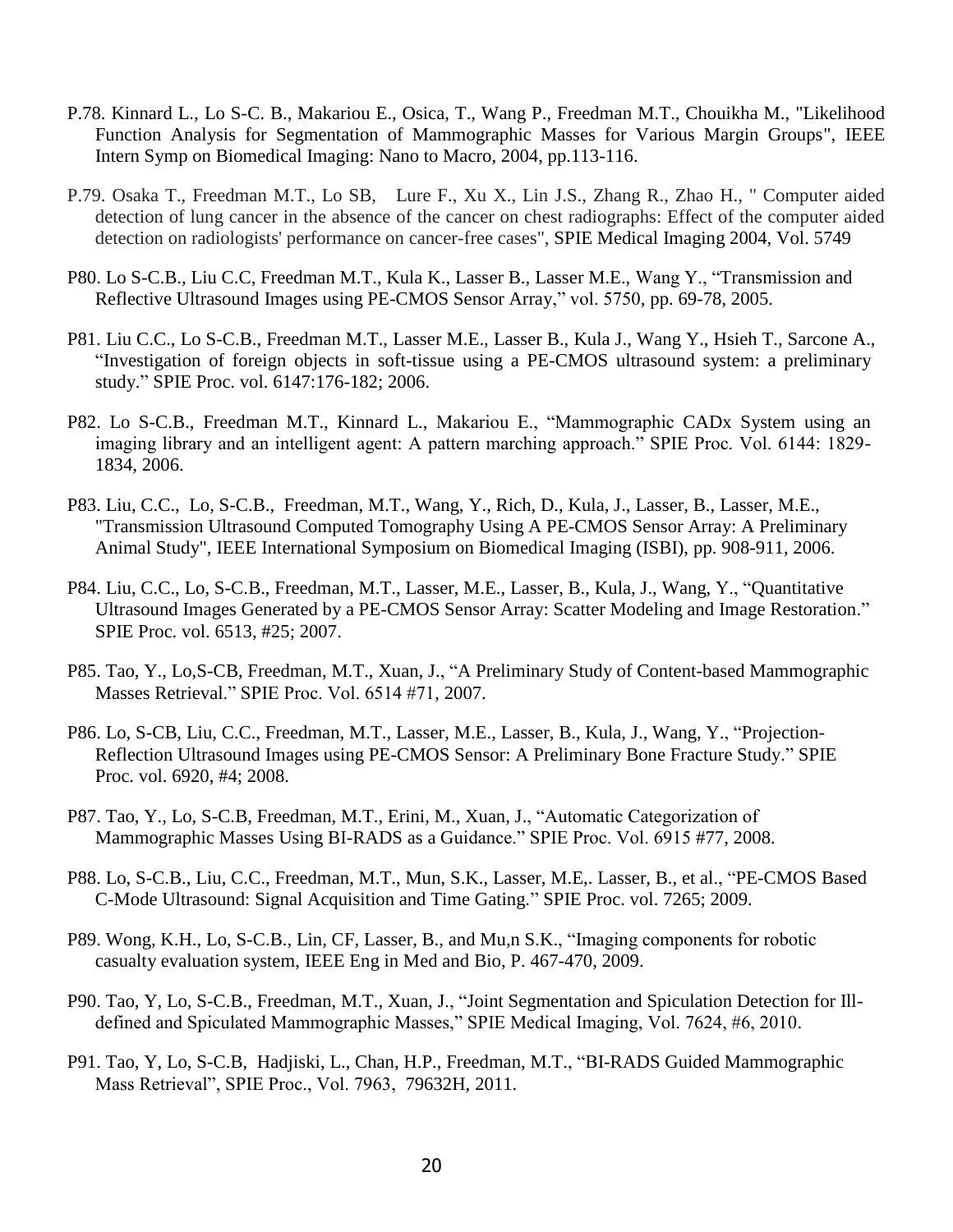- P.78. Kinnard L., Lo S-C. B., Makariou E., Osica, T., Wang P., Freedman M.T., Chouikha M., "Likelihood Function Analysis for Segmentation of Mammographic Masses for Various Margin Groups", IEEE Intern Symp on Biomedical Imaging: Nano to Macro, 2004, pp.113-116.
- P.79. Osaka T., Freedman M.T., Lo SB, Lure F., Xu X., Lin J.S., Zhang R., Zhao H., " Computer aided detection of lung cancer in the absence of the cancer on chest radiographs: Effect of the computer aided detection on radiologists' performance on cancer-free cases", SPIE Medical Imaging 2004, Vol. 5749
- P80. Lo S-C.B., Liu C.C, Freedman M.T., Kula K., Lasser B., Lasser M.E., Wang Y., "Transmission and Reflective Ultrasound Images using PE-CMOS Sensor Array," vol. 5750, pp. 69-78, 2005.
- P81. Liu C.C., Lo S-C.B., Freedman M.T., Lasser M.E., Lasser B., Kula J., Wang Y., Hsieh T., Sarcone A., "Investigation of foreign objects in soft-tissue using a PE-CMOS ultrasound system: a preliminary study." SPIE Proc. vol. 6147:176-182; 2006.
- P82. Lo S-C.B., Freedman M.T., Kinnard L., Makariou E., "Mammographic CADx System using an imaging library and an intelligent agent: A pattern marching approach." SPIE Proc. Vol. 6144: 1829- 1834, 2006.
- P83. Liu, C.C., Lo, S-C.B., Freedman, M.T., Wang, Y., Rich, D., Kula, J., Lasser, B., Lasser, M.E., "Transmission Ultrasound Computed Tomography Using A PE-CMOS Sensor Array: A Preliminary Animal Study", IEEE International Symposium on Biomedical Imaging (ISBI), pp. 908-911, 2006.
- P84. Liu, C.C., Lo, S-C.B., Freedman, M.T., Lasser, M.E., Lasser, B., Kula, J., Wang, Y., "Quantitative Ultrasound Images Generated by a PE-CMOS Sensor Array: Scatter Modeling and Image Restoration." SPIE Proc. vol. 6513, #25; 2007.
- P85. Tao, Y., Lo,S-CB, Freedman, M.T., Xuan, J., "A Preliminary Study of Content-based Mammographic Masses Retrieval." SPIE Proc. Vol. 6514 #71, 2007.
- P86. Lo, S-CB, Liu, C.C., Freedman, M.T., Lasser, M.E., Lasser, B., Kula, J., Wang, Y., "Projection-Reflection Ultrasound Images using PE-CMOS Sensor: A Preliminary Bone Fracture Study." SPIE Proc. vol. 6920, #4; 2008.
- P87. Tao, Y., Lo, S-C.B, Freedman, M.T., Erini, M., Xuan, J., "Automatic Categorization of Mammographic Masses Using BI-RADS as a Guidance." SPIE Proc. Vol. 6915 #77, 2008.
- P88. Lo, S-C.B., Liu, C.C., Freedman, M.T., Mun, S.K., Lasser, M.E,. Lasser, B., et al., "PE-CMOS Based C-Mode Ultrasound: Signal Acquisition and Time Gating." SPIE Proc. vol. 7265; 2009.
- P89. Wong, K.H., Lo, S-C.B., Lin, CF, Lasser, B., and Mu,n S.K., "Imaging components for robotic casualty evaluation system, IEEE Eng in Med and Bio, P. 467-470, 2009.
- P90. Tao, Y, Lo, S-C.B., Freedman, M.T., Xuan, J., "Joint Segmentation and Spiculation Detection for Illdefined and Spiculated Mammographic Masses," SPIE Medical Imaging, Vol. 7624, #6, 2010.
- P91. Tao, Y, Lo, S-C.B, Hadjiski, L., Chan, H.P., Freedman, M.T., "BI-RADS Guided Mammographic Mass Retrieval", SPIE Proc., Vol. 7963, 79632H, 2011.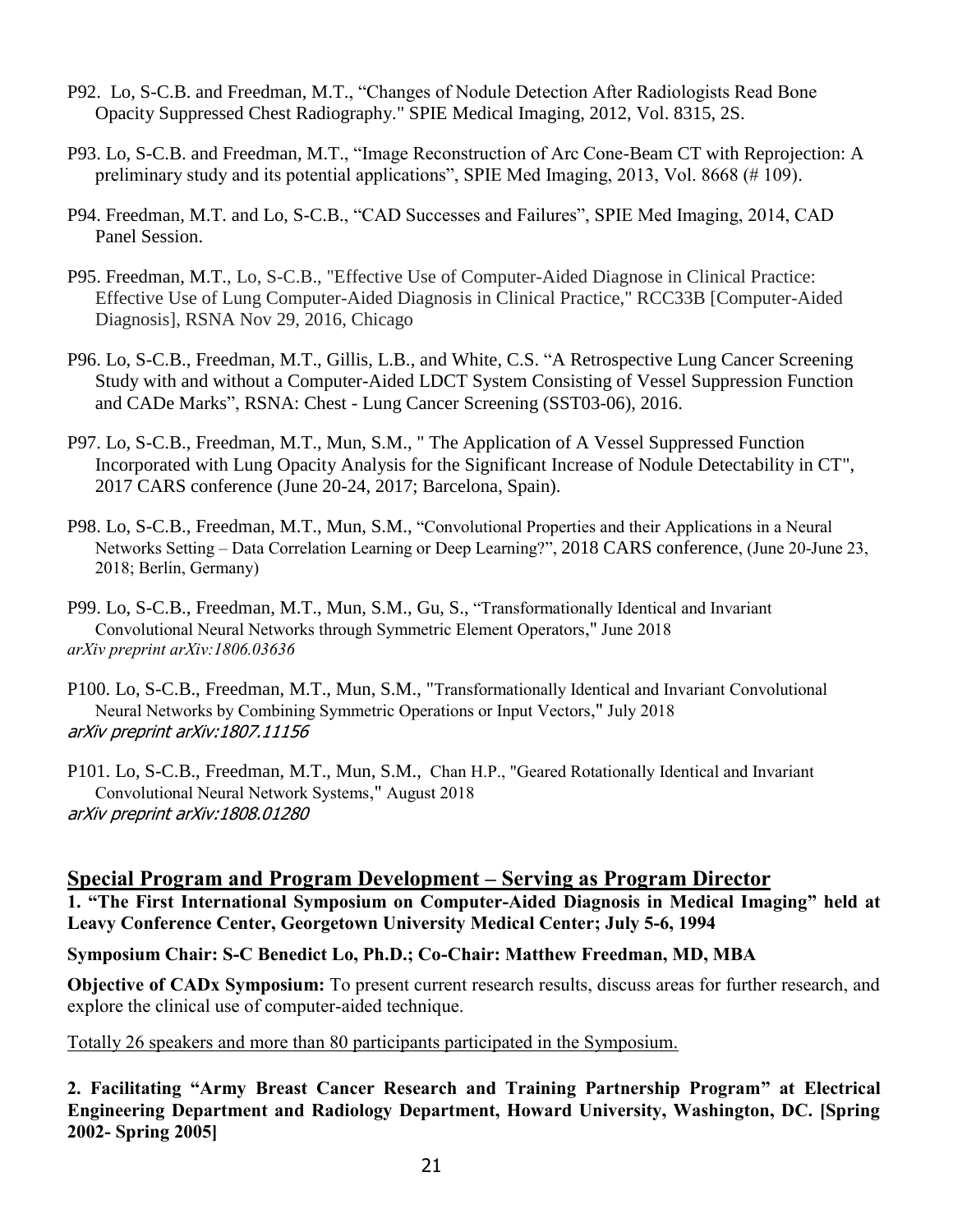- P92. Lo, S-C.B. and Freedman, M.T., "Changes of Nodule Detection After Radiologists Read Bone Opacity Suppressed Chest Radiography." SPIE Medical Imaging, 2012, Vol. 8315, 2S.
- P93. Lo, S-C.B. and Freedman, M.T., "Image Reconstruction of Arc Cone-Beam CT with Reprojection: A preliminary study and its potential applications", SPIE Med Imaging, 2013, Vol. 8668 (# 109).
- P94. Freedman, M.T. and Lo, S-C.B., "CAD Successes and Failures", SPIE Med Imaging, 2014, CAD Panel Session.
- P95. Freedman, M.T., Lo, S-C.B., "Effective Use of Computer-Aided Diagnose in Clinical Practice: Effective Use of Lung Computer-Aided Diagnosis in Clinical Practice," RCC33B [Computer-Aided Diagnosis], RSNA Nov 29, 2016, Chicago
- P96. Lo, S-C.B., Freedman, M.T., Gillis, L.B., and White, C.S. ["A Retrospective Lung Cancer Screening](https://rsna2016.rsna.org/program/)  [Study with and without a Computer-Aided LDCT System Consisting of Vessel Suppression Function](https://rsna2016.rsna.org/program/)  [and CADe Marks"](https://rsna2016.rsna.org/program/), RSNA: Chest - Lung Cancer Screening (SST03-06), 2016.
- P97. Lo, S-C.B., Freedman, M.T., Mun, S.M., " The Application of A Vessel Suppressed Function Incorporated with Lung Opacity Analysis for the Significant Increase of Nodule Detectability in CT", 2017 CARS conference (June 20-24, 2017; Barcelona, Spain).
- P98. Lo, S-C.B., Freedman, M.T., Mun, S.M., "Convolutional Properties and their Applications in a Neural Networks Setting – Data Correlation Learning or Deep Learning?", 2018 CARS conference, (June 20-June 23, 2018; Berlin, Germany)
- P99. Lo, S-C.B., Freedman, M.T., Mun, S.M., Gu, S., "[Transformationally Identical and Invariant](javascript:void(0))  [Convolutional Neural Networks through Symmetric Element Operators](javascript:void(0))," June 2018 *arXiv preprint arXiv:1806.03636*
- P100. Lo, S-C.B., Freedman, M.T., Mun, S.M., "[Transformationally Identical and Invariant Convolutional](javascript:void(0))  [Neural Networks by Combining Symmetric Operations or Input Vectors](javascript:void(0))," July 2018 arXiv preprint arXiv:1807.11156
- P101. Lo, S-C.B., Freedman, M.T., Mun, S.M., Chan H.P., ["Geared Rotationally Identical and Invariant](javascript:void(0))  [Convolutional Neural Network Systems](javascript:void(0))," August 2018 arXiv preprint arXiv:1808.01280

## **Special Program and Program Development – Serving as Program Director**

**1. "The First International Symposium on Computer-Aided Diagnosis in Medical Imaging" held at Leavy Conference Center, Georgetown University Medical Center; July 5-6, 1994** 

**Symposium Chair: S-C Benedict Lo, Ph.D.; Co-Chair: Matthew Freedman, MD, MBA**

**Objective of CADx Symposium:** To present current research results, discuss areas for further research, and explore the clinical use of computer-aided technique.

Totally 26 speakers and more than 80 participants participated in the Symposium.

**2. Facilitating "Army Breast Cancer Research and Training Partnership Program" at Electrical Engineering Department and Radiology Department, Howard University, Washington, DC. [Spring 2002- Spring 2005]**